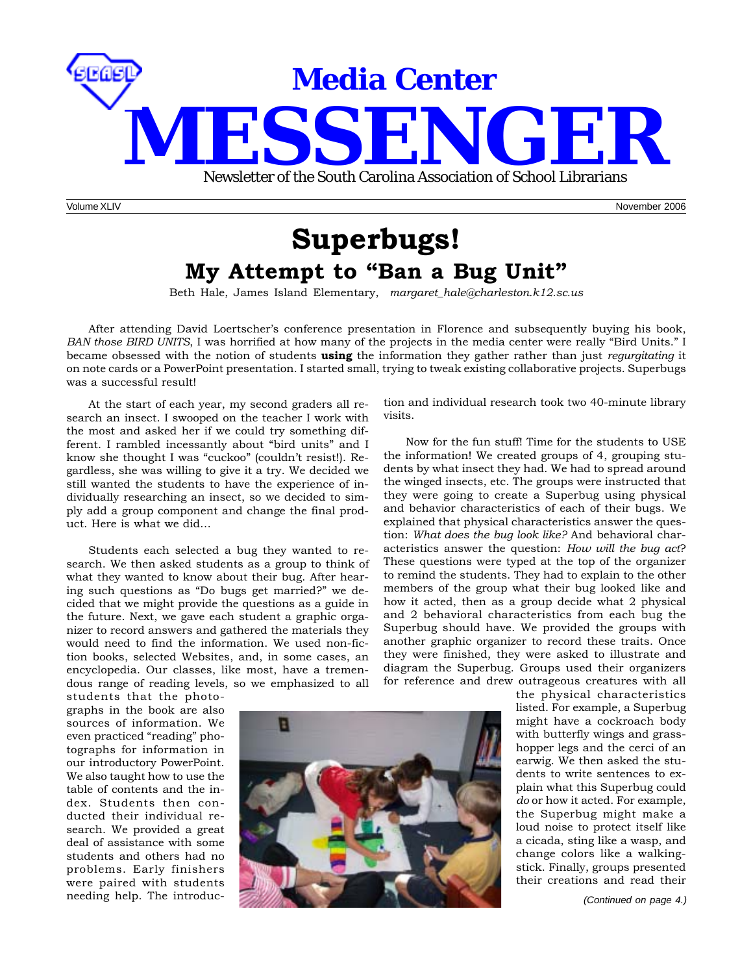

# **Superbugs! My Attempt to "Ban a Bug Unit"**

Beth Hale, James Island Elementary, *margaret\_hale@charleston.k12.sc.us*

After attending David Loertscher's conference presentation in Florence and subsequently buying his book, *BAN those BIRD UNITS*, I was horrified at how many of the projects in the media center were really "Bird Units." I became obsessed with the notion of students **using** the information they gather rather than just *regurgitating* it on note cards or a PowerPoint presentation. I started small, trying to tweak existing collaborative projects. Superbugs was a successful result!

At the start of each year, my second graders all research an insect. I swooped on the teacher I work with the most and asked her if we could try something different. I rambled incessantly about "bird units" and I know she thought I was "cuckoo" (couldn't resist!). Regardless, she was willing to give it a try. We decided we still wanted the students to have the experience of individually researching an insect, so we decided to simply add a group component and change the final product. Here is what we did…

Students each selected a bug they wanted to research. We then asked students as a group to think of what they wanted to know about their bug. After hearing such questions as "Do bugs get married?" we decided that we might provide the questions as a guide in the future. Next, we gave each student a graphic organizer to record answers and gathered the materials they would need to find the information. We used non-fiction books, selected Websites, and, in some cases, an encyclopedia. Our classes, like most, have a tremendous range of reading levels, so we emphasized to all

students that the photographs in the book are also sources of information. We even practiced "reading" photographs for information in our introductory PowerPoint. We also taught how to use the table of contents and the index. Students then conducted their individual research. We provided a great deal of assistance with some students and others had no problems. Early finishers were paired with students

needing help. The introduc-



Now for the fun stuff! Time for the students to USE the information! We created groups of 4, grouping students by what insect they had. We had to spread around the winged insects, etc. The groups were instructed that they were going to create a Superbug using physical and behavior characteristics of each of their bugs. We explained that physical characteristics answer the question: *What does the bug look like?* And behavioral characteristics answer the question: *How will the bug act*? These questions were typed at the top of the organizer to remind the students. They had to explain to the other members of the group what their bug looked like and how it acted, then as a group decide what 2 physical and 2 behavioral characteristics from each bug the Superbug should have. We provided the groups with another graphic organizer to record these traits. Once they were finished, they were asked to illustrate and diagram the Superbug. Groups used their organizers for reference and drew outrageous creatures with all



the physical characteristics listed. For example, a Superbug might have a cockroach body with butterfly wings and grasshopper legs and the cerci of an earwig. We then asked the students to write sentences to explain what this Superbug could *do* or how it acted. For example, the Superbug might make a loud noise to protect itself like a cicada, sting like a wasp, and change colors like a walkingstick. Finally, groups presented their creations and read their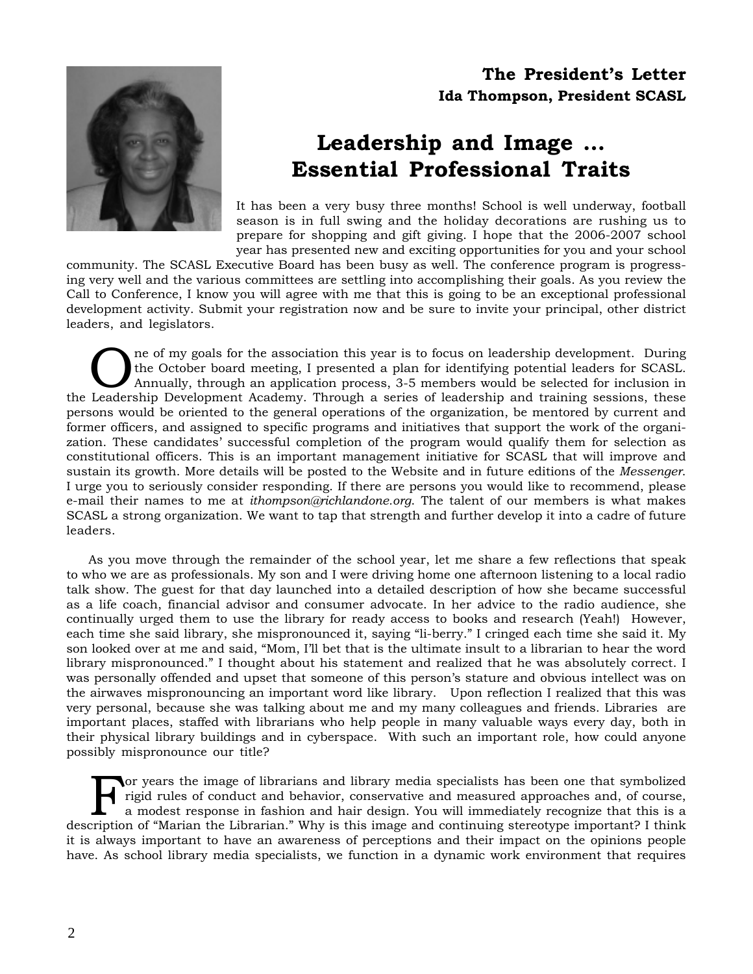## **The President's Letter Ida Thompson, President SCASL**



# **Leadership and Image … Essential Professional Traits**

It has been a very busy three months! School is well underway, football season is in full swing and the holiday decorations are rushing us to prepare for shopping and gift giving. I hope that the 2006-2007 school year has presented new and exciting opportunities for you and your school

community. The SCASL Executive Board has been busy as well. The conference program is progressing very well and the various committees are settling into accomplishing their goals. As you review the Call to Conference, I know you will agree with me that this is going to be an exceptional professional development activity. Submit your registration now and be sure to invite your principal, other district leaders, and legislators.

The of my goals for the association this year is to focus on leadership development. During<br>the October board meeting, I presented a plan for identifying potential leaders for SCASL.<br>Annually, through an application proces the October board meeting, I presented a plan for identifying potential leaders for SCASL. the Leadership Development Academy. Through a series of leadership and training sessions, these persons would be oriented to the general operations of the organization, be mentored by current and former officers, and assigned to specific programs and initiatives that support the work of the organization. These candidates' successful completion of the program would qualify them for selection as constitutional officers. This is an important management initiative for SCASL that will improve and sustain its growth. More details will be posted to the Website and in future editions of the *Messenger*. I urge you to seriously consider responding. If there are persons you would like to recommend, please e-mail their names to me at *ithompson@richlandone.org*. The talent of our members is what makes SCASL a strong organization. We want to tap that strength and further develop it into a cadre of future leaders.

As you move through the remainder of the school year, let me share a few reflections that speak to who we are as professionals. My son and I were driving home one afternoon listening to a local radio talk show. The guest for that day launched into a detailed description of how she became successful as a life coach, financial advisor and consumer advocate. In her advice to the radio audience, she continually urged them to use the library for ready access to books and research (Yeah!) However, each time she said library, she mispronounced it, saying "li-berry." I cringed each time she said it. My son looked over at me and said, "Mom, I'll bet that is the ultimate insult to a librarian to hear the word library mispronounced." I thought about his statement and realized that he was absolutely correct. I was personally offended and upset that someone of this person's stature and obvious intellect was on the airwaves mispronouncing an important word like library. Upon reflection I realized that this was very personal, because she was talking about me and my many colleagues and friends. Libraries are important places, staffed with librarians who help people in many valuable ways every day, both in their physical library buildings and in cyberspace. With such an important role, how could anyone possibly mispronounce our title?

For years the image of librarians and library media specialists has been one that symbolized<br>rigid rules of conduct and behavior, conservative and measured approaches and, of course,<br>a modest response in fashion and hair d rigid rules of conduct and behavior, conservative and measured approaches and, of course, description of "Marian the Librarian." Why is this image and continuing stereotype important? I think it is always important to have an awareness of perceptions and their impact on the opinions people have. As school library media specialists, we function in a dynamic work environment that requires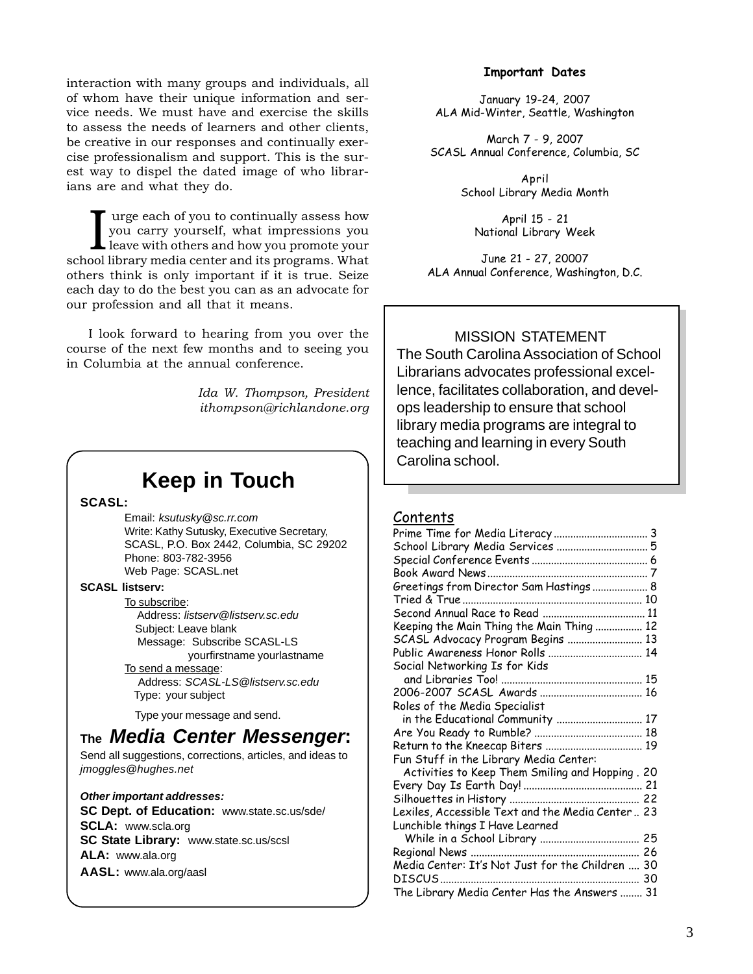interaction with many groups and individuals, all of whom have their unique information and service needs. We must have and exercise the skills to assess the needs of learners and other clients, be creative in our responses and continually exercise professionalism and support. This is the surest way to dispel the dated image of who librarians are and what they do.

I urge each of you to continually assess how you carry yourself, what impressions you leave with others and how you promote your school library media center and its programs. What urge each of you to continually assess how you carry yourself, what impressions you leave with others and how you promote your others think is only important if it is true. Seize each day to do the best you can as an advocate for our profession and all that it means.

I look forward to hearing from you over the course of the next few months and to seeing you in Columbia at the annual conference.

> *Ida W. Thompson, President ithompson@richlandone.org*

# **Keep in Touch**

**SCASL:**

Email: *ksutusky@sc.rr.com* Write: Kathy Sutusky, Executive Secretary, SCASL, P.O. Box 2442, Columbia, SC 29202 Phone: 803-782-3956 Web Page: SCASL.net

### **SCASL listserv:**

To subscribe: Address: *listserv@listserv.sc.edu* Subject: Leave blank Message: Subscribe SCASL-LS yourfirstname yourlastname To send a message: Address: *SCASL-LS@listserv.sc.edu* Type: your subject

Type your message and send.

# **The** *Media Center Messenger***:**

Send all suggestions, corrections, articles, and ideas to *jmoggles@hughes.net*

### *Other important addresses:*

**SC Dept. of Education:** www.state.sc.us/sde/ **SCLA:** www.scla.org **SC State Library:** www.state.sc.us/scsl **ALA:** www.ala.org **AASL:** www.ala.org/aasl

### **Important Dates**

January 19-24, 2007 ALA Mid-Winter, Seattle, Washington

March 7 - 9, 2007 SCASL Annual Conference, Columbia, SC

> April School Library Media Month

April 15 - 21 National Library Week

June 21 - 27, 20007 ALA Annual Conference, Washington, D.C.

## MISSION STATEMENT

The South Carolina Association of School Librarians advocates professional excellence, facilitates collaboration, and develops leadership to ensure that school library media programs are integral to teaching and learning in every South Carolina school.

### Contents

| School Library Media Services  5                 |  |
|--------------------------------------------------|--|
|                                                  |  |
|                                                  |  |
| Greetings from Director Sam Hastings  8          |  |
|                                                  |  |
|                                                  |  |
| Keeping the Main Thing the Main Thing  12        |  |
| SCASL Advocacy Program Begins  13                |  |
| Public Awareness Honor Rolls  14                 |  |
| Social Networking Is for Kids                    |  |
|                                                  |  |
|                                                  |  |
| Roles of the Media Specialist                    |  |
| in the Educational Community  17                 |  |
|                                                  |  |
| Return to the Kneecap Biters  19                 |  |
| Fun Stuff in the Library Media Center:           |  |
| Activities to Keep Them Smiling and Hopping. 20  |  |
|                                                  |  |
|                                                  |  |
| Lexiles, Accessible Text and the Media Center 23 |  |
| Lunchible things I Have Learned                  |  |
|                                                  |  |
|                                                  |  |
| Media Center: It's Not Just for the Children  30 |  |
| DISCUS<br>30                                     |  |
| The Library Media Center Has the Answers  31     |  |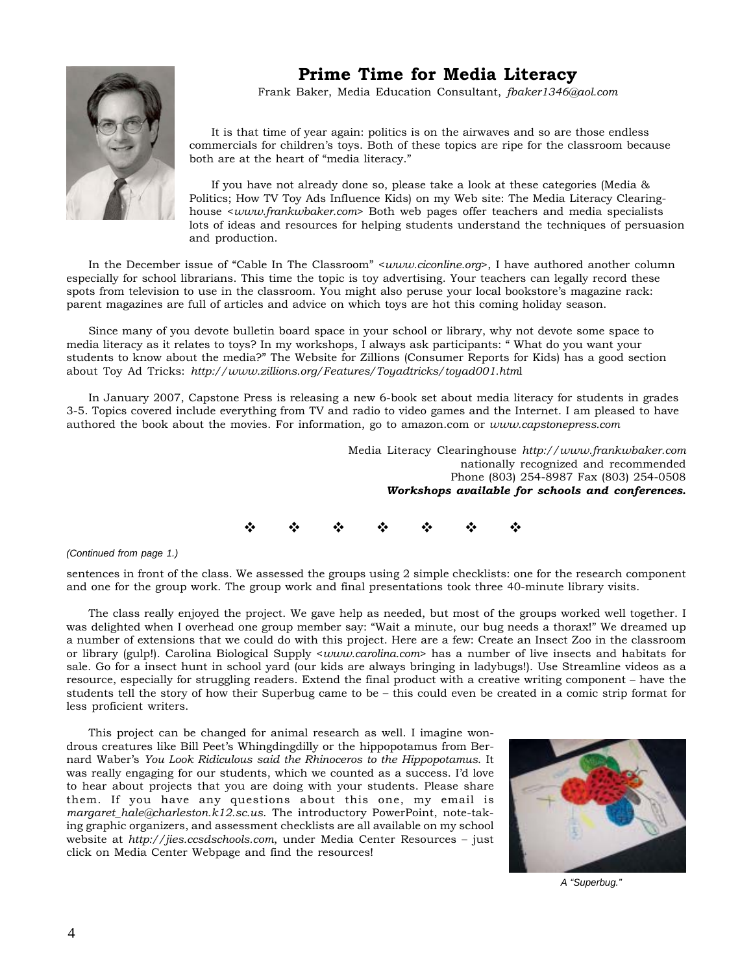

## **Prime Time for Media Literacy**

Frank Baker, Media Education Consultant, *fbaker1346@aol.com*

It is that time of year again: politics is on the airwaves and so are those endless commercials for children's toys. Both of these topics are ripe for the classroom because both are at the heart of "media literacy."

If you have not already done so, please take a look at these categories (Media & Politics; How TV Toy Ads Influence Kids) on my Web site: The Media Literacy Clearinghouse <*www.frankwbaker.com*> Both web pages offer teachers and media specialists lots of ideas and resources for helping students understand the techniques of persuasion and production.

In the December issue of "Cable In The Classroom" <*www.ciconline.org*>, I have authored another column especially for school librarians. This time the topic is toy advertising. Your teachers can legally record these spots from television to use in the classroom. You might also peruse your local bookstore's magazine rack: parent magazines are full of articles and advice on which toys are hot this coming holiday season.

Since many of you devote bulletin board space in your school or library, why not devote some space to media literacy as it relates to toys? In my workshops, I always ask participants: " What do you want your students to know about the media?" The Website for Zillions (Consumer Reports for Kids) has a good section about Toy Ad Tricks: *http://www.zillions.org/Features/Toyadtricks/toyad001.htm*l

In January 2007, Capstone Press is releasing a new 6-book set about media literacy for students in grades 3-5. Topics covered include everything from TV and radio to video games and the Internet. I am pleased to have authored the book about the movies. For information, go to amazon.com or *www.capstonepress.com*

> Media Literacy Clearinghouse *http://www.frankwbaker.com* nationally recognized and recommended Phone (803) 254-8987 Fax (803) 254-0508 *Workshops available for schools and conferences.*

 $\Phi = \Phi = \Phi = \Phi = \Phi = \Phi = \Phi$ 

### *(Continued from page 1.)*

sentences in front of the class. We assessed the groups using 2 simple checklists: one for the research component and one for the group work. The group work and final presentations took three 40-minute library visits.

The class really enjoyed the project. We gave help as needed, but most of the groups worked well together. I was delighted when I overhead one group member say: "Wait a minute, our bug needs a thorax!" We dreamed up a number of extensions that we could do with this project. Here are a few: Create an Insect Zoo in the classroom or library (gulp!). Carolina Biological Supply <*www.carolina.com*> has a number of live insects and habitats for sale. Go for a insect hunt in school yard (our kids are always bringing in ladybugs!). Use Streamline videos as a resource, especially for struggling readers. Extend the final product with a creative writing component – have the students tell the story of how their Superbug came to be – this could even be created in a comic strip format for less proficient writers.

This project can be changed for animal research as well. I imagine wondrous creatures like Bill Peet's Whingdingdilly or the hippopotamus from Bernard Waber's *You Look Ridiculous said the Rhinoceros to the Hippopotamus*. It was really engaging for our students, which we counted as a success. I'd love to hear about projects that you are doing with your students. Please share them. If you have any questions about this one, my email is *margaret\_hale@charleston.k12.sc.us*. The introductory PowerPoint, note-taking graphic organizers, and assessment checklists are all available on my school website at *http://jies.ccsdschools.com*, under Media Center Resources – just click on Media Center Webpage and find the resources!



*A "Superbug."*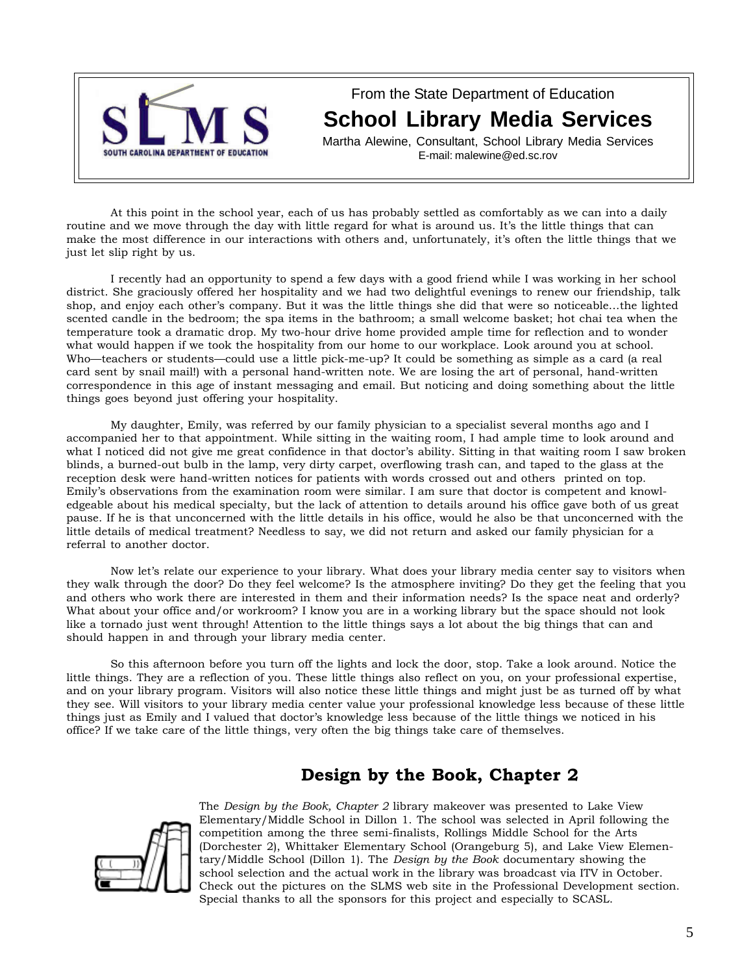

From the State Department of Education **School Library Media Services**

Martha Alewine, Consultant, School Library Media Services E-mail: malewine@ed.sc.rov

At this point in the school year, each of us has probably settled as comfortably as we can into a daily routine and we move through the day with little regard for what is around us. It's the little things that can make the most difference in our interactions with others and, unfortunately, it's often the little things that we just let slip right by us.

I recently had an opportunity to spend a few days with a good friend while I was working in her school district. She graciously offered her hospitality and we had two delightful evenings to renew our friendship, talk shop, and enjoy each other's company. But it was the little things she did that were so noticeable…the lighted scented candle in the bedroom; the spa items in the bathroom; a small welcome basket; hot chai tea when the temperature took a dramatic drop. My two-hour drive home provided ample time for reflection and to wonder what would happen if we took the hospitality from our home to our workplace. Look around you at school. Who—teachers or students—could use a little pick-me-up? It could be something as simple as a card (a real card sent by snail mail!) with a personal hand-written note. We are losing the art of personal, hand-written correspondence in this age of instant messaging and email. But noticing and doing something about the little things goes beyond just offering your hospitality.

My daughter, Emily, was referred by our family physician to a specialist several months ago and I accompanied her to that appointment. While sitting in the waiting room, I had ample time to look around and what I noticed did not give me great confidence in that doctor's ability. Sitting in that waiting room I saw broken blinds, a burned-out bulb in the lamp, very dirty carpet, overflowing trash can, and taped to the glass at the reception desk were hand-written notices for patients with words crossed out and others printed on top. Emily's observations from the examination room were similar. I am sure that doctor is competent and knowledgeable about his medical specialty, but the lack of attention to details around his office gave both of us great pause. If he is that unconcerned with the little details in his office, would he also be that unconcerned with the little details of medical treatment? Needless to say, we did not return and asked our family physician for a referral to another doctor.

Now let's relate our experience to your library. What does your library media center say to visitors when they walk through the door? Do they feel welcome? Is the atmosphere inviting? Do they get the feeling that you and others who work there are interested in them and their information needs? Is the space neat and orderly? What about your office and/or workroom? I know you are in a working library but the space should not look like a tornado just went through! Attention to the little things says a lot about the big things that can and should happen in and through your library media center.

So this afternoon before you turn off the lights and lock the door, stop. Take a look around. Notice the little things. They are a reflection of you. These little things also reflect on you, on your professional expertise, and on your library program. Visitors will also notice these little things and might just be as turned off by what they see. Will visitors to your library media center value your professional knowledge less because of these little things just as Emily and I valued that doctor's knowledge less because of the little things we noticed in his office? If we take care of the little things, very often the big things take care of themselves.

## **Design by the Book, Chapter 2**



The *Design by the Book, Chapter 2* library makeover was presented to Lake View Elementary/Middle School in Dillon 1. The school was selected in April following the competition among the three semi-finalists, Rollings Middle School for the Arts (Dorchester 2), Whittaker Elementary School (Orangeburg 5), and Lake View Elementary/Middle School (Dillon 1). The *Design by the Book* documentary showing the school selection and the actual work in the library was broadcast via ITV in October. Check out the pictures on the SLMS web site in the Professional Development section. Special thanks to all the sponsors for this project and especially to SCASL.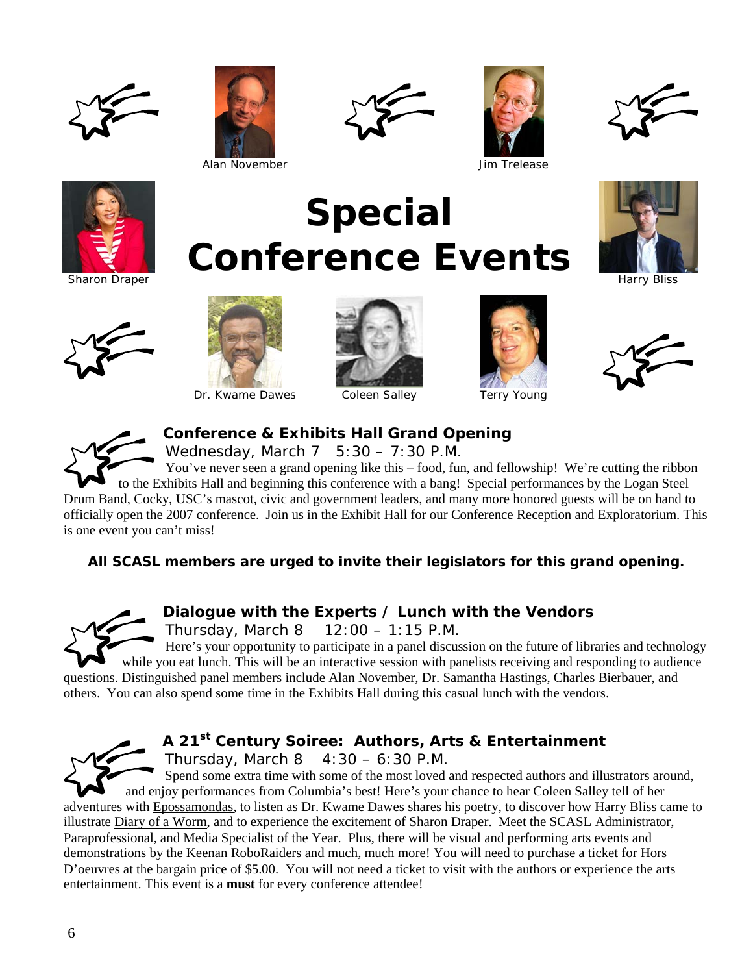











Sharon Draper





Dr. Kwame Dawes Coleen Salley Terry Young



**Special** 

**Conference Events**



Harry Bliss



## **Conference & Exhibits Hall Grand Opening**

Wednesday, March  $7 \quad 5:30 - 7:30$  P.M.

You've never seen a grand opening like this – food, fun, and fellowship! We're cutting the ribbon to the Exhibits Hall and beginning this conference with a bang! Special performances by the Logan Steel Drum Band, Cocky, USC's mascot, civic and government leaders, and many more honored guests will be on hand to officially open the 2007 conference. Join us in the Exhibit Hall for our Conference Reception and Exploratorium. This is one event you can't miss!

## *All SCASL members are urged to invite their legislators for this grand opening.*

## **Dialogue with the Experts / Lunch with the Vendors**

Thursday, March  $8$  12:00 – 1:15 P.M.

Here's your opportunity to participate in a panel discussion on the future of libraries and technology while you eat lunch. This will be an interactive session with panelists receiving and responding to audience questions. Distinguished panel members include Alan November, Dr. Samantha Hastings, Charles Bierbauer, and others. You can also spend some time in the Exhibits Hall during this casual lunch with the vendors.



# **A 21st Century Soiree: Authors, Arts & Entertainment**

Thursday, March  $8 \quad 4:30 - 6:30 \text{ P.M.}$ 

Spend some extra time with some of the most loved and respected authors and illustrators around, and enjoy performances from Columbia's best! Here's your chance to hear Coleen Salley tell of her adventures with Epossamondas, to listen as Dr. Kwame Dawes shares his poetry, to discover how Harry Bliss came to illustrate Diary of a Worm, and to experience the excitement of Sharon Draper. Meet the SCASL Administrator, Paraprofessional, and Media Specialist of the Year. Plus, there will be visual and performing arts events and demonstrations by the Keenan RoboRaiders and much, much more! You will need to purchase a ticket for Hors D'oeuvres at the bargain price of \$5.00. You will not need a ticket to visit with the authors or experience the arts entertainment. This event is a **must** for every conference attendee!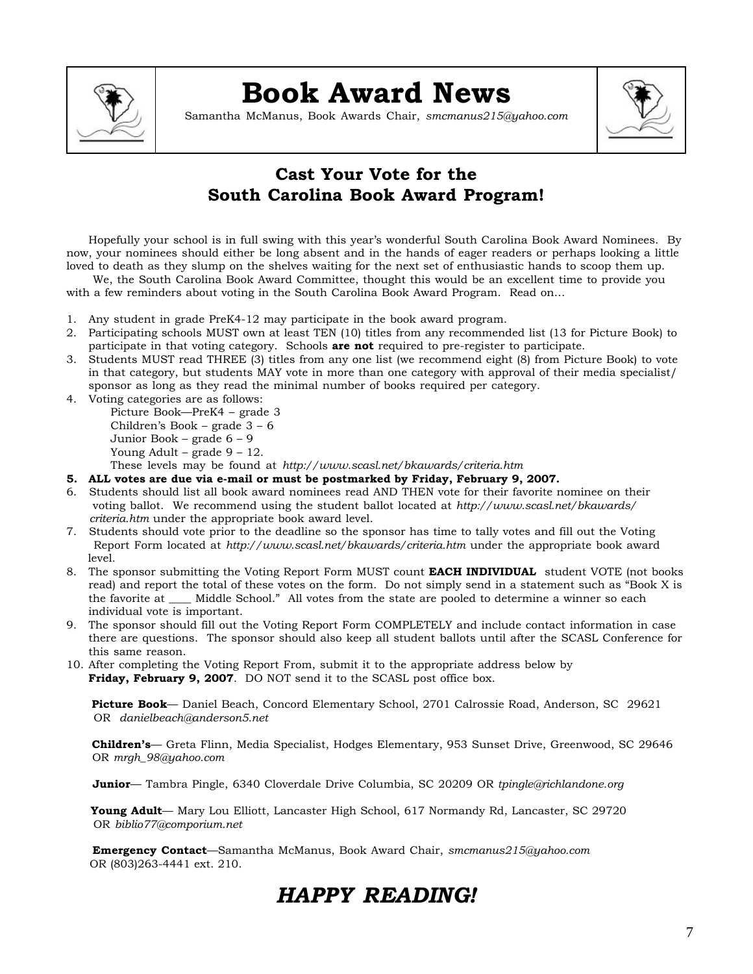

# **Book Award News**

Samantha McManus, Book Awards Chair, *smcmanus215@yahoo.com*



# **Cast Your Vote for the South Carolina Book Award Program!**

Hopefully your school is in full swing with this year's wonderful South Carolina Book Award Nominees. By now, your nominees should either be long absent and in the hands of eager readers or perhaps looking a little loved to death as they slump on the shelves waiting for the next set of enthusiastic hands to scoop them up.

 We, the South Carolina Book Award Committee, thought this would be an excellent time to provide you with a few reminders about voting in the South Carolina Book Award Program. Read on…

- 1. Any student in grade PreK4-12 may participate in the book award program.
- 2. Participating schools MUST own at least TEN (10) titles from any recommended list (13 for Picture Book) to participate in that voting category. Schools **are not** required to pre-register to participate.
- 3. Students MUST read THREE (3) titles from any one list (we recommend eight (8) from Picture Book) to vote in that category, but students MAY vote in more than one category with approval of their media specialist/ sponsor as long as they read the minimal number of books required per category.
- 4. Voting categories are as follows:

Picture Book—PreK4 – grade 3 Children's Book – grade 3 – 6 Junior Book – grade 6 – 9 Young Adult – grade  $9 - 12$ .

These levels may be found at *http://www.scasl.net/bkawards/criteria.htm*

- **5. ALL votes are due via e-mail or must be postmarked by Friday, February 9, 2007.**
- 6. Students should list all book award nominees read AND THEN vote for their favorite nominee on their voting ballot. We recommend using the student ballot located at *http://www.scasl.net/bkawards/ criteria.htm* under the appropriate book award level.
- 7. Students should vote prior to the deadline so the sponsor has time to tally votes and fill out the Voting Report Form located at *http://www.scasl.net/bkawards/criteria.htm* under the appropriate book award level.
- 8. The sponsor submitting the Voting Report Form MUST count **EACH INDIVIDUAL** student VOTE (not books read) and report the total of these votes on the form. Do not simply send in a statement such as "Book X is the favorite at \_\_\_\_ Middle School." All votes from the state are pooled to determine a winner so each individual vote is important.
- 9. The sponsor should fill out the Voting Report Form COMPLETELY and include contact information in case there are questions. The sponsor should also keep all student ballots until after the SCASL Conference for this same reason.
- 10. After completing the Voting Report From, submit it to the appropriate address below by **Friday, February 9, 2007**. DO NOT send it to the SCASL post office box.

 **Picture Book**— Daniel Beach, Concord Elementary School, 2701 Calrossie Road, Anderson, SC 29621 OR *danielbeach@anderson5.net*

 **Children's**— Greta Flinn, Media Specialist, Hodges Elementary, 953 Sunset Drive, Greenwood, SC 29646 OR *mrgh\_98@yahoo.com*

**Junior**— Tambra Pingle, 6340 Cloverdale Drive Columbia, SC 20209 OR *tpingle@richlandone.org*

 **Young Adult**— Mary Lou Elliott, Lancaster High School, 617 Normandy Rd, Lancaster, SC 29720 OR *biblio77@comporium.net*

 **Emergency Contact**—Samantha McManus, Book Award Chair, *smcmanus215@yahoo.com* OR (803)263-4441 ext. 210.

# *HAPPY READING!*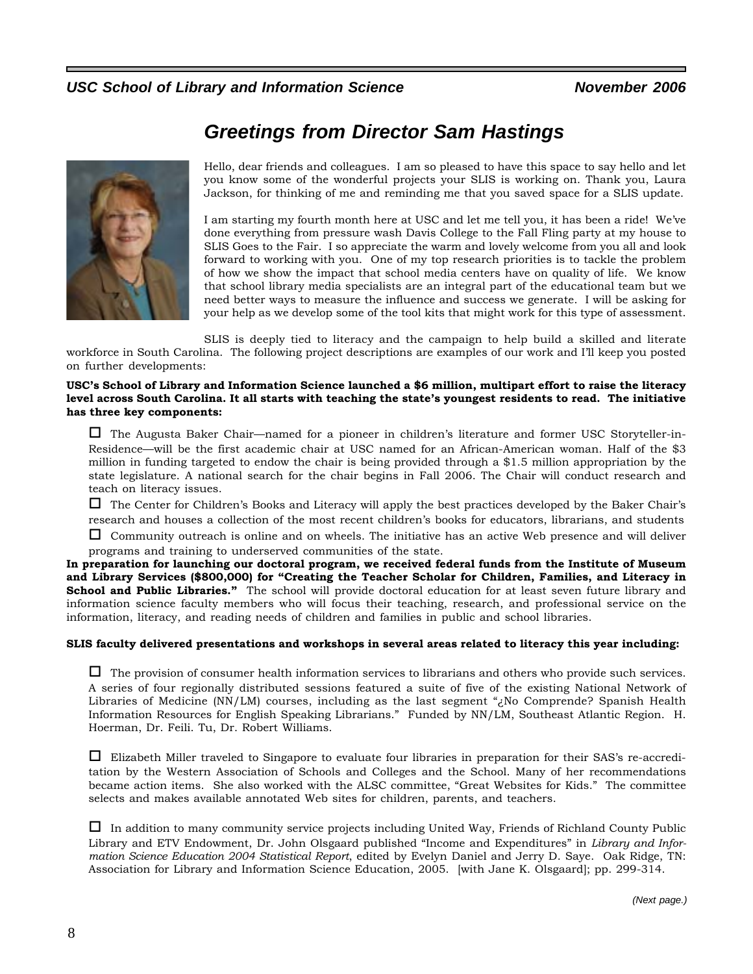## USC School of Library and Information Science November 2006

# *Greetings from Director Sam Hastings*



Hello, dear friends and colleagues. I am so pleased to have this space to say hello and let you know some of the wonderful projects your SLIS is working on. Thank you, Laura Jackson, for thinking of me and reminding me that you saved space for a SLIS update.

I am starting my fourth month here at USC and let me tell you, it has been a ride! We've done everything from pressure wash Davis College to the Fall Fling party at my house to SLIS Goes to the Fair. I so appreciate the warm and lovely welcome from you all and look forward to working with you. One of my top research priorities is to tackle the problem of how we show the impact that school media centers have on quality of life. We know that school library media specialists are an integral part of the educational team but we need better ways to measure the influence and success we generate. I will be asking for your help as we develop some of the tool kits that might work for this type of assessment.

SLIS is deeply tied to literacy and the campaign to help build a skilled and literate

workforce in South Carolina. The following project descriptions are examples of our work and I'll keep you posted on further developments:

### **USC's School of Library and Information Science launched a \$6 million, multipart effort to raise the literacy level across South Carolina. It all starts with teaching the state's youngest residents to read. The initiative has three key components:**

 The Augusta Baker Chair—named for a pioneer in children's literature and former USC Storyteller-in-Residence—will be the first academic chair at USC named for an African-American woman. Half of the \$3 million in funding targeted to endow the chair is being provided through a \$1.5 million appropriation by the state legislature. A national search for the chair begins in Fall 2006. The Chair will conduct research and teach on literacy issues.

 The Center for Children's Books and Literacy will apply the best practices developed by the Baker Chair's research and houses a collection of the most recent children's books for educators, librarians, and students

 $\Box$  Community outreach is online and on wheels. The initiative has an active Web presence and will deliver programs and training to underserved communities of the state.

**In preparation for launching our doctoral program, we received federal funds from the Institute of Museum and Library Services (\$800,000) for "Creating the Teacher Scholar for Children, Families, and Literacy in School and Public Libraries."** The school will provide doctoral education for at least seven future library and information science faculty members who will focus their teaching, research, and professional service on the information, literacy, and reading needs of children and families in public and school libraries.

### **SLIS faculty delivered presentations and workshops in several areas related to literacy this year including:**

 $\Box$  The provision of consumer health information services to librarians and others who provide such services. A series of four regionally distributed sessions featured a suite of five of the existing National Network of Libraries of Medicine (NN/LM) courses, including as the last segment "¿No Comprende? Spanish Health Information Resources for English Speaking Librarians." Funded by NN/LM, Southeast Atlantic Region. H. Hoerman, Dr. Feili. Tu, Dr. Robert Williams.

 Elizabeth Miller traveled to Singapore to evaluate four libraries in preparation for their SAS's re-accreditation by the Western Association of Schools and Colleges and the School. Many of her recommendations became action items. She also worked with the ALSC committee, "Great Websites for Kids." The committee selects and makes available annotated Web sites for children, parents, and teachers.

 In addition to many community service projects including United Way, Friends of Richland County Public Library and ETV Endowment, Dr. John Olsgaard published "Income and Expenditures" in *Library and Information Science Education 2004 Statistical Report*, edited by Evelyn Daniel and Jerry D. Saye. Oak Ridge, TN: Association for Library and Information Science Education, 2005. [with Jane K. Olsgaard]; pp. 299-314.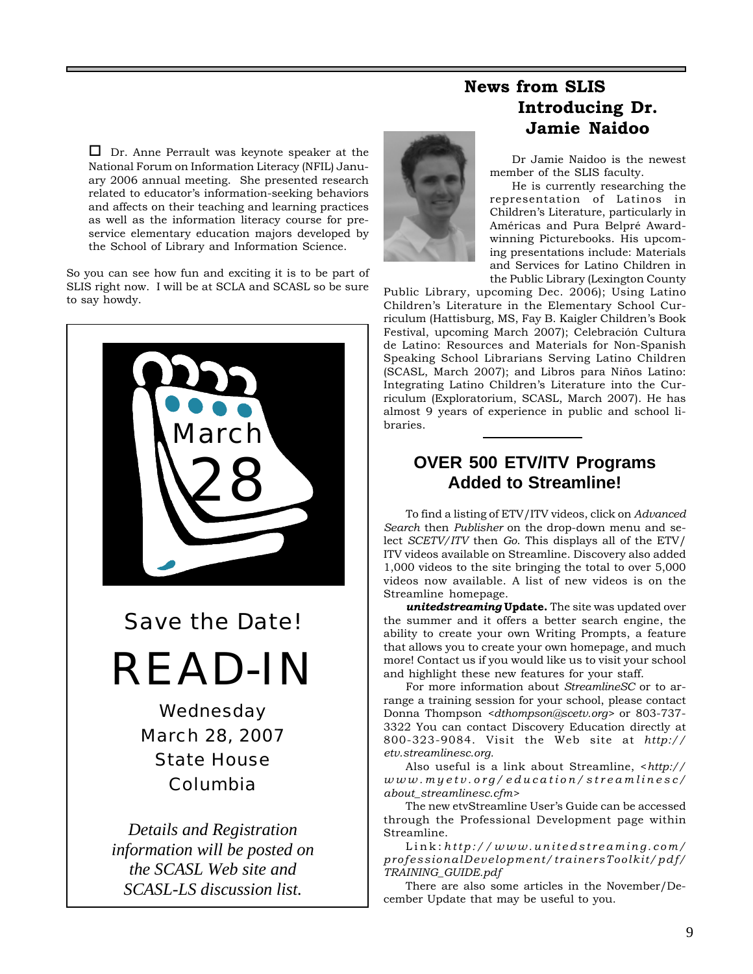$\Box$  Dr. Anne Perrault was keynote speaker at the National Forum on Information Literacy (NFIL) January 2006 annual meeting. She presented research related to educator's information-seeking behaviors and affects on their teaching and learning practices as well as the information literacy course for preservice elementary education majors developed by the School of Library and Information Science.

So you can see how fun and exciting it is to be part of SLIS right now. I will be at SCLA and SCASL so be sure to say howdy.



# **News from SLIS Introducing Dr. Jamie Naidoo**

Dr Jamie Naidoo is the newest member of the SLIS faculty.

He is currently researching the representation of Latinos in Children's Literature, particularly in Américas and Pura Belpré Awardwinning Picturebooks. His upcoming presentations include: Materials and Services for Latino Children in the Public Library (Lexington County

Public Library, upcoming Dec. 2006); Using Latino Children's Literature in the Elementary School Curriculum (Hattisburg, MS, Fay B. Kaigler Children's Book Festival, upcoming March 2007); Celebración Cultura de Latino: Resources and Materials for Non-Spanish Speaking School Librarians Serving Latino Children (SCASL, March 2007); and Libros para Niños Latino: Integrating Latino Children's Literature into the Curriculum (Exploratorium, SCASL, March 2007). He has almost 9 years of experience in public and school libraries.

## **OVER 500 ETV/ITV Programs Added to Streamline!**

To find a listing of ETV/ITV videos, click on *Advanced Search* then *Publisher* on the drop-down menu and select *SCETV/ITV* then *Go*. This displays all of the ETV/ ITV videos available on Streamline. Discovery also added 1,000 videos to the site bringing the total to over 5,000 videos now available. A list of new videos is on the Streamline homepage.

*unitedstreaming* **Update.** The site was updated over the summer and it offers a better search engine, the ability to create your own Writing Prompts, a feature that allows you to create your own homepage, and much more! Contact us if you would like us to visit your school and highlight these new features for your staff.

For more information about *StreamlineSC* or to arrange a training session for your school, please contact Donna Thompson *<dthompson@scetv.org>* or 803-737- 3322 You can contact Discovery Education directly at 800-323-9084. Visit the Web site at *http:// etv.streamlinesc.org.*

Also useful is a link about Streamline, <*http:// www.myetv.org/education/streamlinesc/ about\_streamlinesc.cfm>*

The new etvStreamline User's Guide can be accessed through the Professional Development page within Streamline.

Link: *http://www.unitedstreaming.com/ professionalDevelopment/trainersToolkit/pdf/ TRAINING\_GUIDE.pdf*

There are also some articles in the November/December Update that may be useful to you.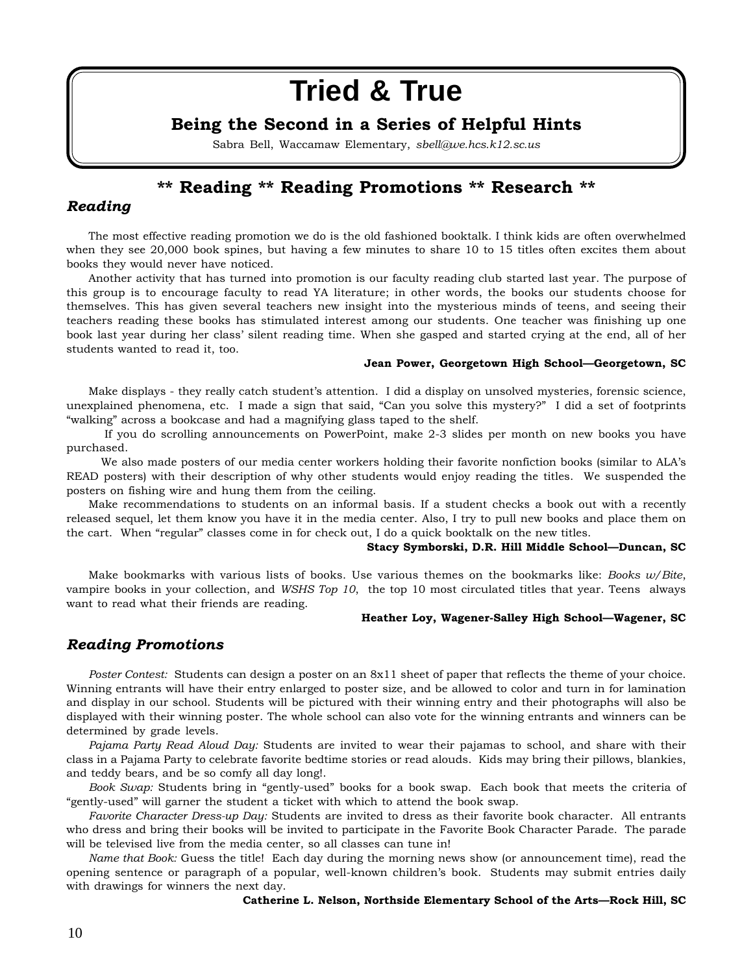# **Tried & True**

## **Being the Second in a Series of Helpful Hints**

Sabra Bell, Waccamaw Elementary, *sbell@we.hcs.k12.sc.us*

## **\*\* Reading \*\* Reading Promotions \*\* Research \*\***

## *Reading*

The most effective reading promotion we do is the old fashioned booktalk. I think kids are often overwhelmed when they see 20,000 book spines, but having a few minutes to share 10 to 15 titles often excites them about books they would never have noticed.

Another activity that has turned into promotion is our faculty reading club started last year. The purpose of this group is to encourage faculty to read YA literature; in other words, the books our students choose for themselves. This has given several teachers new insight into the mysterious minds of teens, and seeing their teachers reading these books has stimulated interest among our students. One teacher was finishing up one book last year during her class' silent reading time. When she gasped and started crying at the end, all of her students wanted to read it, too.

### **Jean Power, Georgetown High School—Georgetown, SC**

Make displays - they really catch student's attention. I did a display on unsolved mysteries, forensic science, unexplained phenomena, etc. I made a sign that said, "Can you solve this mystery?" I did a set of footprints "walking" across a bookcase and had a magnifying glass taped to the shelf.

 If you do scrolling announcements on PowerPoint, make 2-3 slides per month on new books you have purchased.

 We also made posters of our media center workers holding their favorite nonfiction books (similar to ALA's READ posters) with their description of why other students would enjoy reading the titles. We suspended the posters on fishing wire and hung them from the ceiling.

Make recommendations to students on an informal basis. If a student checks a book out with a recently released sequel, let them know you have it in the media center. Also, I try to pull new books and place them on the cart. When "regular" classes come in for check out, I do a quick booktalk on the new titles.

#### **Stacy Symborski, D.R. Hill Middle School—Duncan, SC**

Make bookmarks with various lists of books. Use various themes on the bookmarks like: *Books w/Bite*, vampire books in your collection, and *WSHS Top 10*, the top 10 most circulated titles that year. Teens always want to read what their friends are reading.

#### **Heather Loy, Wagener-Salley High School—Wagener, SC**

## *Reading Promotions*

*Poster Contest:* Students can design a poster on an 8x11 sheet of paper that reflects the theme of your choice. Winning entrants will have their entry enlarged to poster size, and be allowed to color and turn in for lamination and display in our school. Students will be pictured with their winning entry and their photographs will also be displayed with their winning poster. The whole school can also vote for the winning entrants and winners can be determined by grade levels.

*Pajama Party Read Aloud Day:* Students are invited to wear their pajamas to school, and share with their class in a Pajama Party to celebrate favorite bedtime stories or read alouds. Kids may bring their pillows, blankies, and teddy bears, and be so comfy all day long!.

*Book Swap:* Students bring in "gently-used" books for a book swap. Each book that meets the criteria of "gently-used" will garner the student a ticket with which to attend the book swap.

*Favorite Character Dress-up Day:* Students are invited to dress as their favorite book character. All entrants who dress and bring their books will be invited to participate in the Favorite Book Character Parade. The parade will be televised live from the media center, so all classes can tune in!

*Name that Book:* Guess the title! Each day during the morning news show (or announcement time), read the opening sentence or paragraph of a popular, well-known children's book. Students may submit entries daily with drawings for winners the next day.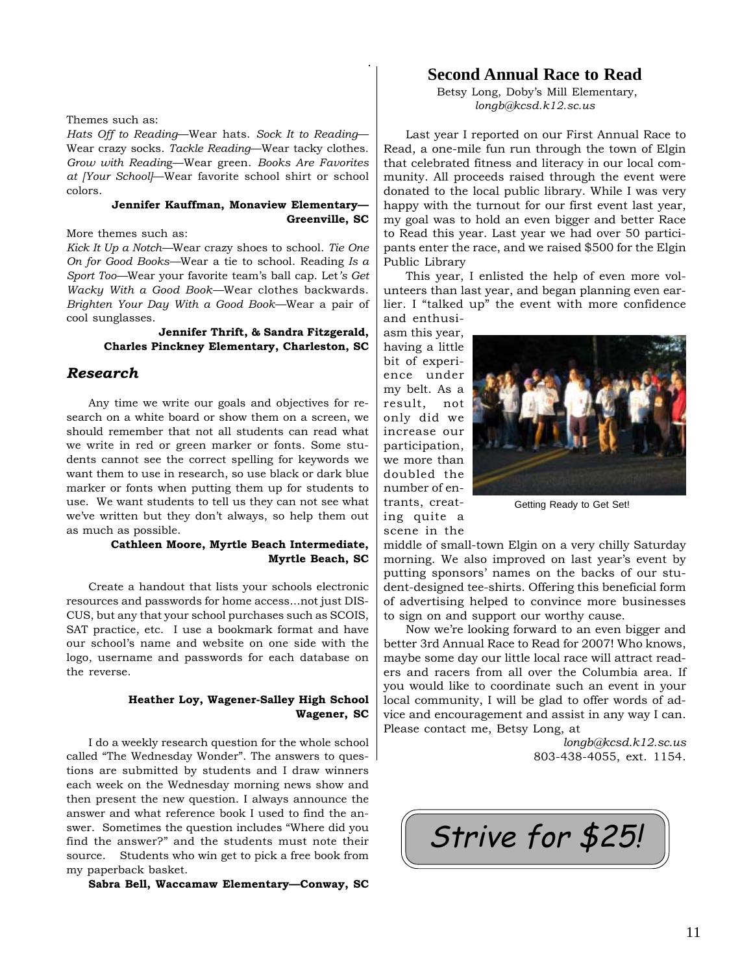### Themes such as:

*Hats Off to Reading*—Wear hats. *Sock It to Reading*— Wear crazy socks. *Tackle Reading*—Wear tacky clothes. *Grow with Readin*g—Wear green. *Books Are Favorites at [Your School]*—Wear favorite school shirt or school colors.

### **Jennifer Kauffman, Monaview Elementary— Greenville, SC**

More themes such as:

*Kick It Up a Notch—*Wear crazy shoes to school. *Tie One On for Good Books—*Wear a tie to school. Reading *Is a Sport Too—*Wear your favorite team's ball cap. Let*'s Get Wacky With a Good Book—*Wear clothes backwards. *Brighten Your Day With a Good Book—*Wear a pair of cool sunglasses.

### **Jennifer Thrift, & Sandra Fitzgerald, Charles Pinckney Elementary, Charleston, SC**

### *Research*

Any time we write our goals and objectives for research on a white board or show them on a screen, we should remember that not all students can read what we write in red or green marker or fonts. Some students cannot see the correct spelling for keywords we want them to use in research, so use black or dark blue marker or fonts when putting them up for students to use. We want students to tell us they can not see what we've written but they don't always, so help them out as much as possible.

### **Cathleen Moore, Myrtle Beach Intermediate, Myrtle Beach, SC**

Create a handout that lists your schools electronic resources and passwords for home access...not just DIS-CUS, but any that your school purchases such as SCOIS, SAT practice, etc. I use a bookmark format and have our school's name and website on one side with the logo, username and passwords for each database on the reverse.

### **Heather Loy, Wagener-Salley High School Wagener, SC**

I do a weekly research question for the whole school called "The Wednesday Wonder". The answers to questions are submitted by students and I draw winners each week on the Wednesday morning news show and then present the new question. I always announce the answer and what reference book I used to find the answer. Sometimes the question includes "Where did you find the answer?" and the students must note their source. Students who win get to pick a free book from my paperback basket.

**Sabra Bell, Waccamaw Elementary—Conway, SC**

## **Second Annual Race to Read**

 Betsy Long, Doby's Mill Elementary, *longb@kcsd.k12.sc.us*

Last year I reported on our First Annual Race to Read, a one-mile fun run through the town of Elgin that celebrated fitness and literacy in our local community. All proceeds raised through the event were donated to the local public library. While I was very happy with the turnout for our first event last year, my goal was to hold an even bigger and better Race to Read this year. Last year we had over 50 participants enter the race, and we raised \$500 for the Elgin Public Library

This year, I enlisted the help of even more volunteers than last year, and began planning even earlier. I "talked up" the event with more confidence and enthusi-

asm this year, having a little bit of experience under my belt. As a result, not only did we increase our participation, we more than doubled the number of entrants, creating quite a scene in the



Getting Ready to Get Set!

middle of small-town Elgin on a very chilly Saturday morning. We also improved on last year's event by putting sponsors' names on the backs of our student-designed tee-shirts. Offering this beneficial form of advertising helped to convince more businesses to sign on and support our worthy cause.

Now we're looking forward to an even bigger and better 3rd Annual Race to Read for 2007! Who knows, maybe some day our little local race will attract readers and racers from all over the Columbia area. If you would like to coordinate such an event in your local community, I will be glad to offer words of advice and encouragement and assist in any way I can. Please contact me, Betsy Long, at

> *longb@kcsd.k12.sc.us* 803-438-4055, ext. 1154.

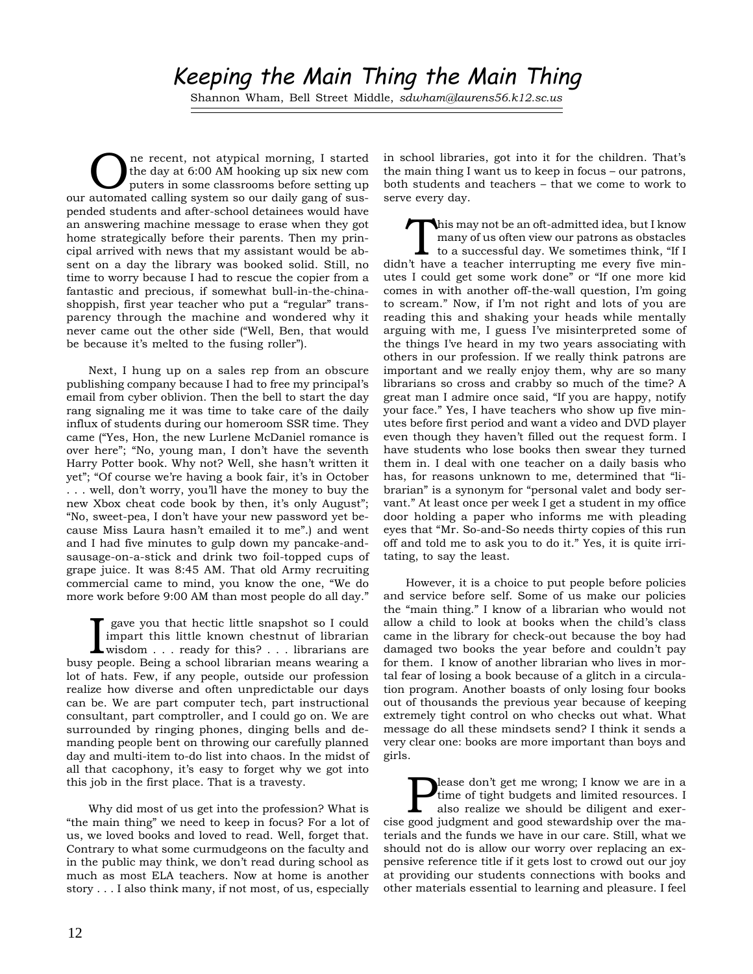# Keeping the Main Thing the Main Thing

Shannon Wham, Bell Street Middle, *sdwham@laurens56.k12.sc.us*

One recent, not atypical morning, I started<br>the day at 6:00 AM hooking up six new computers in some classrooms before setting up<br>sutemeted colling sustains a our deily gap of sus the day at 6:00 AM hooking up six new com our automated calling system so our daily gang of suspended students and after-school detainees would have an answering machine message to erase when they got home strategically before their parents. Then my principal arrived with news that my assistant would be absent on a day the library was booked solid. Still, no time to worry because I had to rescue the copier from a fantastic and precious, if somewhat bull-in-the-chinashoppish, first year teacher who put a "regular" transparency through the machine and wondered why it never came out the other side ("Well, Ben, that would be because it's melted to the fusing roller").

Next, I hung up on a sales rep from an obscure publishing company because I had to free my principal's email from cyber oblivion. Then the bell to start the day rang signaling me it was time to take care of the daily influx of students during our homeroom SSR time. They came ("Yes, Hon, the new Lurlene McDaniel romance is over here"; "No, young man, I don't have the seventh Harry Potter book. Why not? Well, she hasn't written it yet"; "Of course we're having a book fair, it's in October . . . well, don't worry, you'll have the money to buy the new Xbox cheat code book by then, it's only August"; "No, sweet-pea, I don't have your new password yet because Miss Laura hasn't emailed it to me".) and went and I had five minutes to gulp down my pancake-andsausage-on-a-stick and drink two foil-topped cups of grape juice. It was 8:45 AM. That old Army recruiting commercial came to mind, you know the one, "We do more work before 9:00 AM than most people do all day."

**I** gave you that hectic little snapshot so I could impart this little known chestnut of librarian wisdom . . . ready for this? . . . librarians are busy people. Being a school librarian means wearing a gave you that hectic little snapshot so I could impart this little known chestnut of librarian wisdom . . . ready for this? . . . librarians are lot of hats. Few, if any people, outside our profession realize how diverse and often unpredictable our days can be. We are part computer tech, part instructional consultant, part comptroller, and I could go on. We are surrounded by ringing phones, dinging bells and demanding people bent on throwing our carefully planned day and multi-item to-do list into chaos. In the midst of all that cacophony, it's easy to forget why we got into this job in the first place. That is a travesty.

Why did most of us get into the profession? What is "the main thing" we need to keep in focus? For a lot of us, we loved books and loved to read. Well, forget that. Contrary to what some curmudgeons on the faculty and in the public may think, we don't read during school as much as most ELA teachers. Now at home is another story . . . I also think many, if not most, of us, especially

in school libraries, got into it for the children. That's the main thing I want us to keep in focus – our patrons, both students and teachers – that we come to work to serve every day.

This may not be an oft-admitted idea, but I know many of us often view our patrons as obstacles to a successful day. We sometimes think, "If I didn't have a teacher interrupting me every five minutes I could get some work done" or "If one more kid comes in with another off-the-wall question, I'm going to scream." Now, if I'm not right and lots of you are reading this and shaking your heads while mentally arguing with me, I guess I've misinterpreted some of the things I've heard in my two years associating with others in our profession. If we really think patrons are important and we really enjoy them, why are so many librarians so cross and crabby so much of the time? A great man I admire once said, "If you are happy, notify your face." Yes, I have teachers who show up five minutes before first period and want a video and DVD player even though they haven't filled out the request form. I have students who lose books then swear they turned them in. I deal with one teacher on a daily basis who has, for reasons unknown to me, determined that "librarian" is a synonym for "personal valet and body servant." At least once per week I get a student in my office door holding a paper who informs me with pleading eyes that "Mr. So-and-So needs thirty copies of this run off and told me to ask you to do it." Yes, it is quite irritating, to say the least.

However, it is a choice to put people before policies and service before self. Some of us make our policies the "main thing." I know of a librarian who would not allow a child to look at books when the child's class came in the library for check-out because the boy had damaged two books the year before and couldn't pay for them. I know of another librarian who lives in mortal fear of losing a book because of a glitch in a circulation program. Another boasts of only losing four books out of thousands the previous year because of keeping extremely tight control on who checks out what. What message do all these mindsets send? I think it sends a very clear one: books are more important than boys and girls.

**Please don't get me wrong; I know we are in a**<br>time of tight budgets and limited resources. I<br>also realize we should be diligent and exer-<br>good judgment and exerged stawardship over the motime of tight budgets and limited resources. I also realize we should be diligent and exercise good judgment and good stewardship over the materials and the funds we have in our care. Still, what we should not do is allow our worry over replacing an expensive reference title if it gets lost to crowd out our joy at providing our students connections with books and other materials essential to learning and pleasure. I feel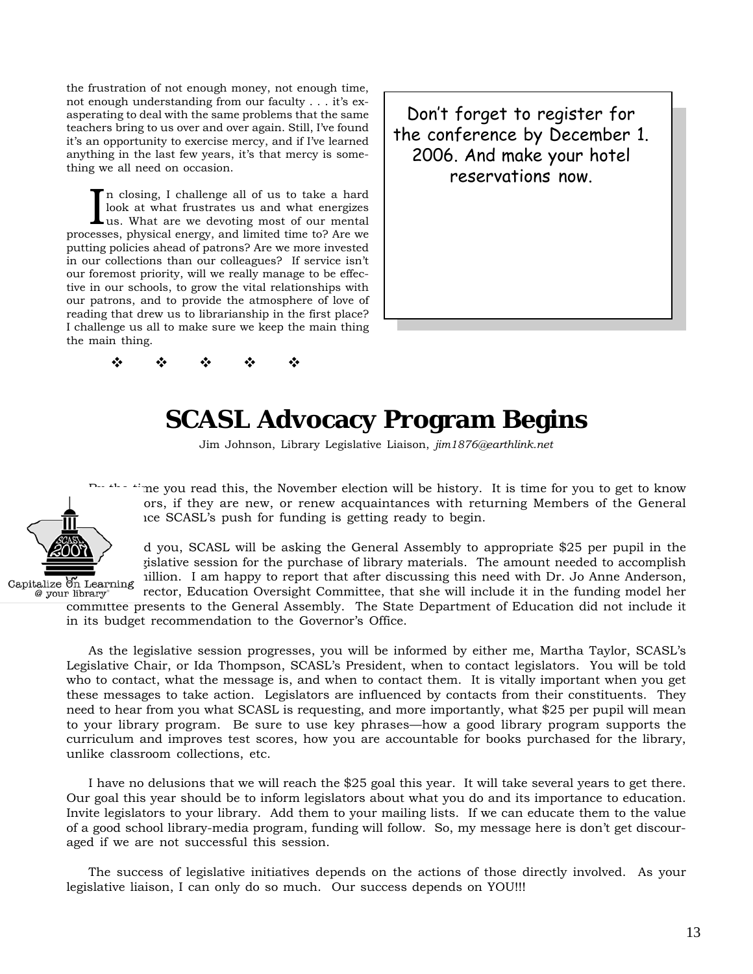the frustration of not enough money, not enough time, not enough understanding from our faculty . . . it's exasperating to deal with the same problems that the same teachers bring to us over and over again. Still, I've found it's an opportunity to exercise mercy, and if I've learned anything in the last few years, it's that mercy is something we all need on occasion.

In closing, I challenge all of us to take a hard<br>look at what frustrates us and what energizes<br>us. What are we devoting most of our mental<br>respectively above the property and limited time to 2 Are we look at what frustrates us and what energizes us. What are we devoting most of our mental processes, physical energy, and limited time to? Are we putting policies ahead of patrons? Are we more invested in our collections than our colleagues? If service isn't our foremost priority, will we really manage to be effective in our schools, to grow the vital relationships with our patrons, and to provide the atmosphere of love of reading that drew us to librarianship in the first place? I challenge us all to make sure we keep the main thing the main thing.

 $\Phi = \Phi = \Phi = \Phi = \Phi$ 

the conference by December 1. com, choice by becomber Don't forget to register for reservations now.

# **SCASL Advocacy Program Begins**

Jim Johnson, Library Legislative Liaison, *jim1876@earthlink.net*



me you read this, the November election will be history. It is time for you to get to know ors, if they are new, or renew acquaintances with returning Members of the General he SCASL's push for funding is getting ready to begin.

d you, SCASL will be asking the General Assembly to appropriate \$25 per pupil in the rislative session for the purchase of library materials. The amount needed to accomplish Capitalize  $\delta$ n Learning iillion. I am happy to report that after discussing this need with Dr. Jo Anne Anderson,  $\frac{a}{g}$  vour library rector, Education Oversight Committee, that she will include it in the funding model her

committee presents to the General Assembly. The State Department of Education did not include it in its budget recommendation to the Governor's Office.

As the legislative session progresses, you will be informed by either me, Martha Taylor, SCASL's Legislative Chair, or Ida Thompson, SCASL's President, when to contact legislators. You will be told who to contact, what the message is, and when to contact them. It is vitally important when you get these messages to take action. Legislators are influenced by contacts from their constituents. They need to hear from you what SCASL is requesting, and more importantly, what \$25 per pupil will mean to your library program. Be sure to use key phrases—how a good library program supports the curriculum and improves test scores, how you are accountable for books purchased for the library, unlike classroom collections, etc.

I have no delusions that we will reach the \$25 goal this year. It will take several years to get there. Our goal this year should be to inform legislators about what you do and its importance to education. Invite legislators to your library. Add them to your mailing lists. If we can educate them to the value of a good school library-media program, funding will follow. So, my message here is don't get discouraged if we are not successful this session.

The success of legislative initiatives depends on the actions of those directly involved. As your legislative liaison, I can only do so much. Our success depends on YOU!!!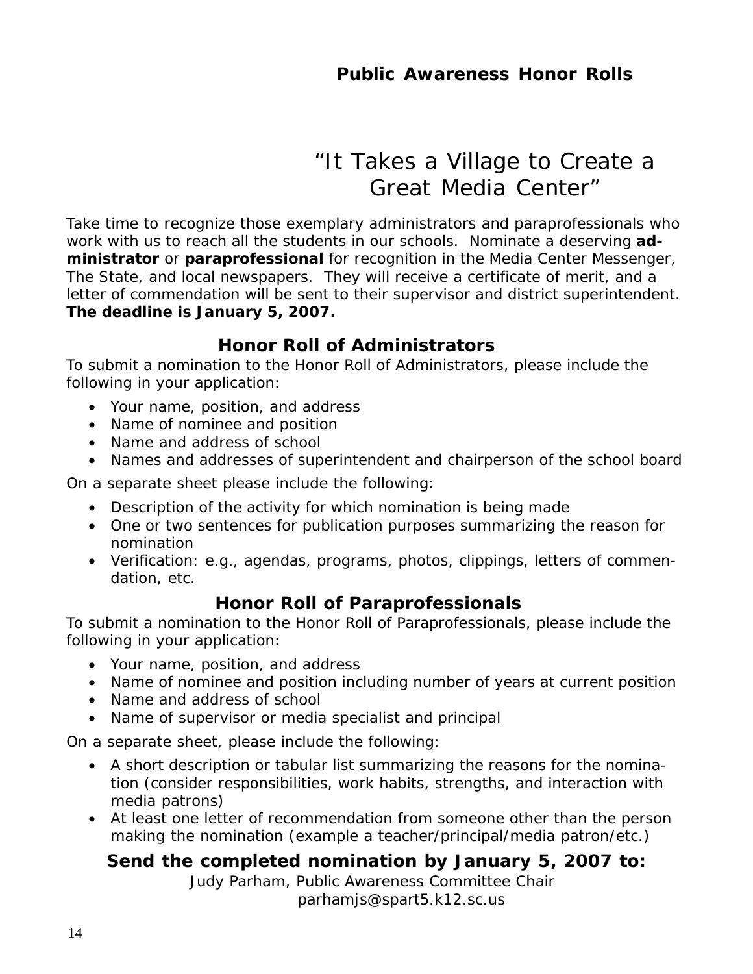# *"It Takes a Village to Create a Great Media Center"*

Take time to recognize those exemplary administrators and paraprofessionals who work with us to reach all the students in our schools. Nominate a deserving **administrator** or **paraprofessional** for recognition in the *Media Center Messenger, The State*, and local newspapers. They will receive a certificate of merit, and a letter of commendation will be sent to their supervisor and district superintendent. **The deadline is January 5, 2007.**

# **Honor Roll of Administrators**

To submit a nomination to the Honor Roll of Administrators, please include the following in your application:

- Your name, position, and address
- Name of nominee and position
- Name and address of school
- Names and addresses of superintendent and chairperson of the school board

On a separate sheet please include the following:

- Description of the activity for which nomination is being made
- One or two sentences for publication purposes summarizing the reason for nomination
- Verification: e.g., agendas, programs, photos, clippings, letters of commendation, etc.

## **Honor Roll of Paraprofessionals**

To submit a nomination to the Honor Roll of Paraprofessionals, please include the following in your application:

- Your name, position, and address
- Name of nominee and position including number of years at current position
- Name and address of school
- Name of supervisor or media specialist and principal

On a separate sheet, please include the following:

- A short description or tabular list summarizing the reasons for the nomination (consider responsibilities, work habits, strengths, and interaction with media patrons)
- At least one letter of recommendation from someone other than the person making the nomination (example a teacher/principal/media patron/etc.)

# **Send the completed nomination by January 5, 2007 to:**

Judy Parham, Public Awareness Committee Chair parhamjs@spart5.k12.sc.us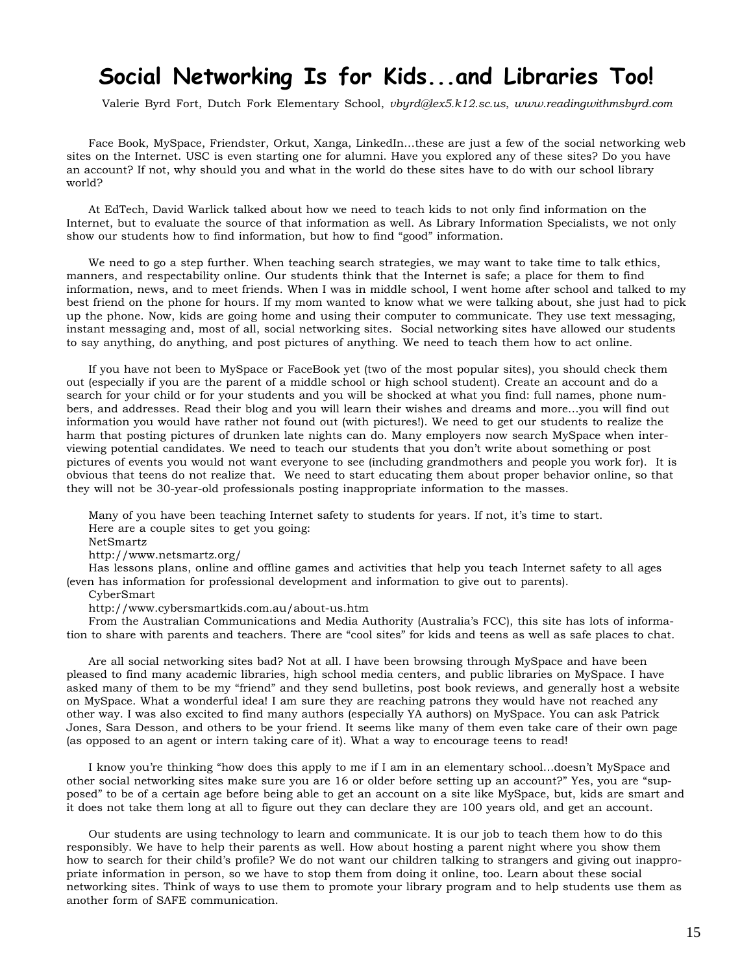# **Social Networking Is for Kids...and Libraries Too!**

Valerie Byrd Fort, Dutch Fork Elementary School, *vbyrd@lex5.k12.sc.us*, *www.readingwithmsbyrd.com*

Face Book, MySpace, Friendster, Orkut, Xanga, LinkedIn…these are just a few of the social networking web sites on the Internet. USC is even starting one for alumni. Have you explored any of these sites? Do you have an account? If not, why should you and what in the world do these sites have to do with our school library world?

At EdTech, David Warlick talked about how we need to teach kids to not only find information on the Internet, but to evaluate the source of that information as well. As Library Information Specialists, we not only show our students how to find information, but how to find "good" information.

We need to go a step further. When teaching search strategies, we may want to take time to talk ethics, manners, and respectability online. Our students think that the Internet is safe; a place for them to find information, news, and to meet friends. When I was in middle school, I went home after school and talked to my best friend on the phone for hours. If my mom wanted to know what we were talking about, she just had to pick up the phone. Now, kids are going home and using their computer to communicate. They use text messaging, instant messaging and, most of all, social networking sites. Social networking sites have allowed our students to say anything, do anything, and post pictures of anything. We need to teach them how to act online.

If you have not been to MySpace or FaceBook yet (two of the most popular sites), you should check them out (especially if you are the parent of a middle school or high school student). Create an account and do a search for your child or for your students and you will be shocked at what you find: full names, phone numbers, and addresses. Read their blog and you will learn their wishes and dreams and more…you will find out information you would have rather not found out (with pictures!). We need to get our students to realize the harm that posting pictures of drunken late nights can do. Many employers now search MySpace when interviewing potential candidates. We need to teach our students that you don't write about something or post pictures of events you would not want everyone to see (including grandmothers and people you work for). It is obvious that teens do not realize that. We need to start educating them about proper behavior online, so that they will not be 30-year-old professionals posting inappropriate information to the masses.

Many of you have been teaching Internet safety to students for years. If not, it's time to start. Here are a couple sites to get you going:

NetSmartz

http://www.netsmartz.org/

Has lessons plans, online and offline games and activities that help you teach Internet safety to all ages (even has information for professional development and information to give out to parents).

CyberSmart

http://www.cybersmartkids.com.au/about-us.htm

From the Australian Communications and Media Authority (Australia's FCC), this site has lots of information to share with parents and teachers. There are "cool sites" for kids and teens as well as safe places to chat.

Are all social networking sites bad? Not at all. I have been browsing through MySpace and have been pleased to find many academic libraries, high school media centers, and public libraries on MySpace. I have asked many of them to be my "friend" and they send bulletins, post book reviews, and generally host a website on MySpace. What a wonderful idea! I am sure they are reaching patrons they would have not reached any other way. I was also excited to find many authors (especially YA authors) on MySpace. You can ask Patrick Jones, Sara Desson, and others to be your friend. It seems like many of them even take care of their own page (as opposed to an agent or intern taking care of it). What a way to encourage teens to read!

I know you're thinking "how does this apply to me if I am in an elementary school…doesn't MySpace and other social networking sites make sure you are 16 or older before setting up an account?" Yes, you are "supposed" to be of a certain age before being able to get an account on a site like MySpace, but, kids are smart and it does not take them long at all to figure out they can declare they are 100 years old, and get an account.

Our students are using technology to learn and communicate. It is our job to teach them how to do this responsibly. We have to help their parents as well. How about hosting a parent night where you show them how to search for their child's profile? We do not want our children talking to strangers and giving out inappropriate information in person, so we have to stop them from doing it online, too. Learn about these social networking sites. Think of ways to use them to promote your library program and to help students use them as another form of SAFE communication.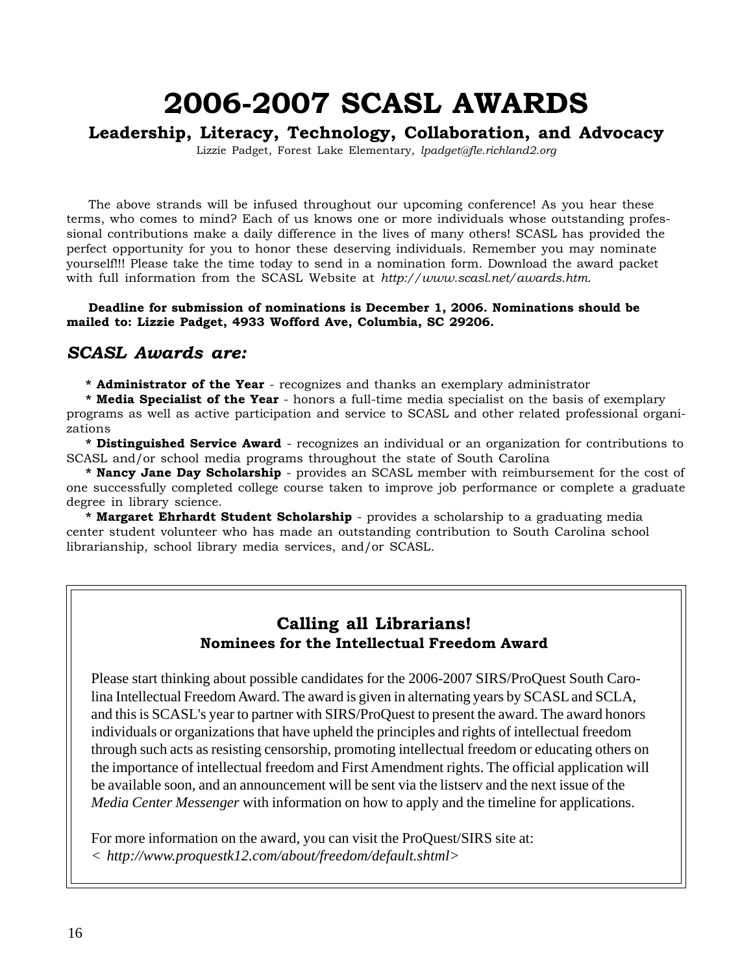# **2006-2007 SCASL AWARDS**

## **Leadership, Literacy, Technology, Collaboration, and Advocacy**

Lizzie Padget, Forest Lake Elementary, *lpadget@fle.richland2.org*

The above strands will be infused throughout our upcoming conference! As you hear these terms, who comes to mind? Each of us knows one or more individuals whose outstanding professional contributions make a daily difference in the lives of many others! SCASL has provided the perfect opportunity for you to honor these deserving individuals. Remember you may nominate yourself!!! Please take the time today to send in a nomination form. Download the award packet with full information from the SCASL Website at *http://www.scasl.net/awards.htm.*

### **Deadline for submission of nominations is December 1, 2006. Nominations should be mailed to: Lizzie Padget, 4933 Wofford Ave, Columbia, SC 29206.**

## *SCASL Awards are:*

**\* Administrator of the Year** - recognizes and thanks an exemplary administrator

**\* Media Specialist of the Year** - honors a full-time media specialist on the basis of exemplary programs as well as active participation and service to SCASL and other related professional organizations

**\* Distinguished Service Award** - recognizes an individual or an organization for contributions to SCASL and/or school media programs throughout the state of South Carolina

**\* Nancy Jane Day Scholarship** - provides an SCASL member with reimbursement for the cost of one successfully completed college course taken to improve job performance or complete a graduate degree in library science.

**\* Margaret Ehrhardt Student Scholarship** - provides a scholarship to a graduating media center student volunteer who has made an outstanding contribution to South Carolina school librarianship, school library media services, and/or SCASL.

## **Calling all Librarians! Nominees for the Intellectual Freedom Award**

Please start thinking about possible candidates for the 2006-2007 SIRS/ProQuest South Carolina Intellectual Freedom Award. The award is given in alternating years by SCASL and SCLA, and this is SCASL's year to partner with SIRS/ProQuest to present the award. The award honors individuals or organizations that have upheld the principles and rights of intellectual freedom through such acts as resisting censorship, promoting intellectual freedom or educating others on the importance of intellectual freedom and First Amendment rights. The official application will be available soon, and an announcement will be sent via the listserv and the next issue of the *Media Center Messenger* with information on how to apply and the timeline for applications.

For more information on the award, you can visit the ProQuest/SIRS site at: *< http://www.proquestk12.com/about/freedom/default.shtml>*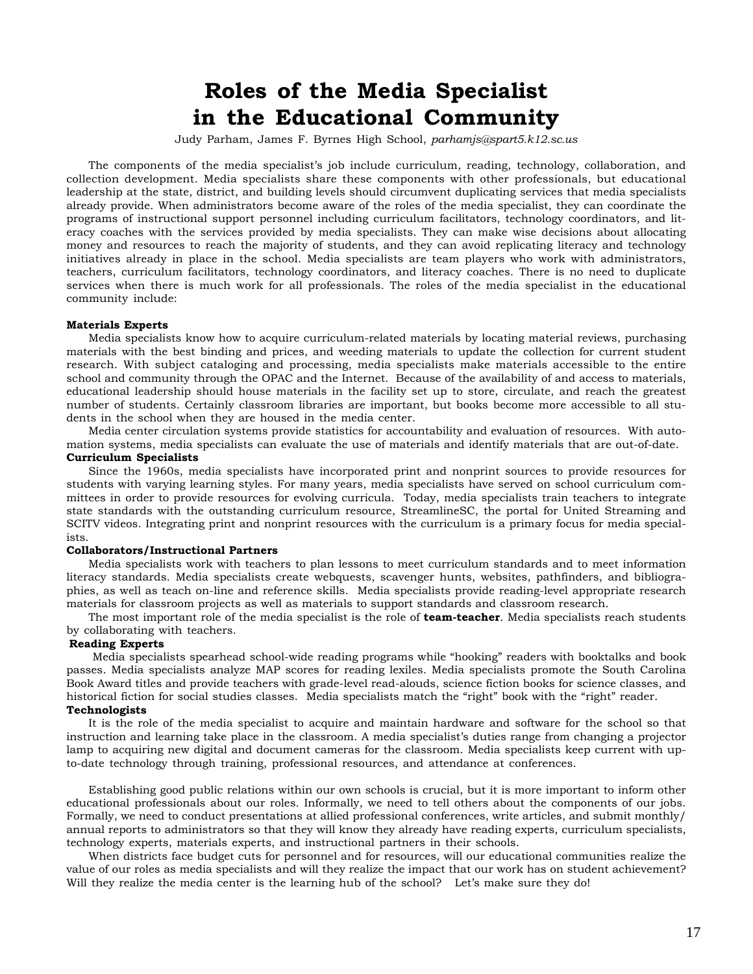# **Roles of the Media Specialist in the Educational Community**

Judy Parham, James F. Byrnes High School, *parhamjs@spart5.k12.sc.us*

The components of the media specialist's job include curriculum, reading, technology, collaboration, and collection development. Media specialists share these components with other professionals, but educational leadership at the state, district, and building levels should circumvent duplicating services that media specialists already provide. When administrators become aware of the roles of the media specialist, they can coordinate the programs of instructional support personnel including curriculum facilitators, technology coordinators, and literacy coaches with the services provided by media specialists. They can make wise decisions about allocating money and resources to reach the majority of students, and they can avoid replicating literacy and technology initiatives already in place in the school. Media specialists are team players who work with administrators, teachers, curriculum facilitators, technology coordinators, and literacy coaches. There is no need to duplicate services when there is much work for all professionals. The roles of the media specialist in the educational community include:

### **Materials Experts**

Media specialists know how to acquire curriculum-related materials by locating material reviews, purchasing materials with the best binding and prices, and weeding materials to update the collection for current student research. With subject cataloging and processing, media specialists make materials accessible to the entire school and community through the OPAC and the Internet. Because of the availability of and access to materials, educational leadership should house materials in the facility set up to store, circulate, and reach the greatest number of students. Certainly classroom libraries are important, but books become more accessible to all students in the school when they are housed in the media center.

Media center circulation systems provide statistics for accountability and evaluation of resources. With automation systems, media specialists can evaluate the use of materials and identify materials that are out-of-date. **Curriculum Specialists**

Since the 1960s, media specialists have incorporated print and nonprint sources to provide resources for students with varying learning styles. For many years, media specialists have served on school curriculum committees in order to provide resources for evolving curricula. Today, media specialists train teachers to integrate state standards with the outstanding curriculum resource, StreamlineSC, the portal for United Streaming and SCITV videos. Integrating print and nonprint resources with the curriculum is a primary focus for media specialists.

#### **Collaborators/Instructional Partners**

Media specialists work with teachers to plan lessons to meet curriculum standards and to meet information literacy standards. Media specialists create webquests, scavenger hunts, websites, pathfinders, and bibliographies, as well as teach on-line and reference skills. Media specialists provide reading-level appropriate research materials for classroom projects as well as materials to support standards and classroom research.

The most important role of the media specialist is the role of **team-teacher**. Media specialists reach students by collaborating with teachers.

#### **Reading Experts**

 Media specialists spearhead school-wide reading programs while "hooking" readers with booktalks and book passes. Media specialists analyze MAP scores for reading lexiles. Media specialists promote the South Carolina Book Award titles and provide teachers with grade-level read-alouds, science fiction books for science classes, and historical fiction for social studies classes. Media specialists match the "right" book with the "right" reader. **Technologists**

It is the role of the media specialist to acquire and maintain hardware and software for the school so that instruction and learning take place in the classroom. A media specialist's duties range from changing a projector lamp to acquiring new digital and document cameras for the classroom. Media specialists keep current with upto-date technology through training, professional resources, and attendance at conferences.

Establishing good public relations within our own schools is crucial, but it is more important to inform other educational professionals about our roles. Informally, we need to tell others about the components of our jobs. Formally, we need to conduct presentations at allied professional conferences, write articles, and submit monthly/ annual reports to administrators so that they will know they already have reading experts, curriculum specialists, technology experts, materials experts, and instructional partners in their schools.

When districts face budget cuts for personnel and for resources, will our educational communities realize the value of our roles as media specialists and will they realize the impact that our work has on student achievement? Will they realize the media center is the learning hub of the school? Let's make sure they do!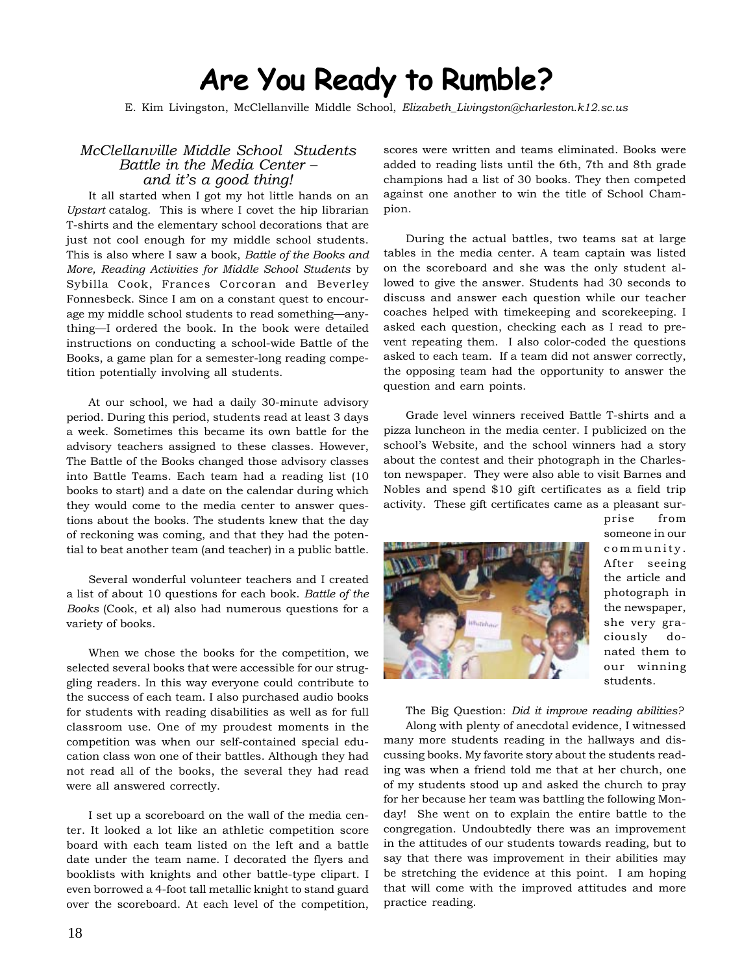# **Are You Ready to Rumble?**

E. Kim Livingston, McClellanville Middle School, *Elizabeth\_Livingston@charleston.k12.sc.us*

### *McClellanville Middle School Students Battle in the Media Center – and it's a good thing!*

It all started when I got my hot little hands on an *Upstart* catalog. This is where I covet the hip librarian T-shirts and the elementary school decorations that are just not cool enough for my middle school students. This is also where I saw a book, *Battle of the Books and More, Reading Activities for Middle School Students* by Sybilla Cook, Frances Corcoran and Beverley Fonnesbeck. Since I am on a constant quest to encourage my middle school students to read something—anything—I ordered the book. In the book were detailed instructions on conducting a school-wide Battle of the Books, a game plan for a semester-long reading competition potentially involving all students.

At our school, we had a daily 30-minute advisory period. During this period, students read at least 3 days a week. Sometimes this became its own battle for the advisory teachers assigned to these classes. However, The Battle of the Books changed those advisory classes into Battle Teams. Each team had a reading list (10 books to start) and a date on the calendar during which they would come to the media center to answer questions about the books. The students knew that the day of reckoning was coming, and that they had the potential to beat another team (and teacher) in a public battle.

Several wonderful volunteer teachers and I created a list of about 10 questions for each book. *Battle of the Books* (Cook, et al) also had numerous questions for a variety of books.

When we chose the books for the competition, we selected several books that were accessible for our struggling readers. In this way everyone could contribute to the success of each team. I also purchased audio books for students with reading disabilities as well as for full classroom use. One of my proudest moments in the competition was when our self-contained special education class won one of their battles. Although they had not read all of the books, the several they had read were all answered correctly.

I set up a scoreboard on the wall of the media center. It looked a lot like an athletic competition score board with each team listed on the left and a battle date under the team name. I decorated the flyers and booklists with knights and other battle-type clipart. I even borrowed a 4-foot tall metallic knight to stand guard over the scoreboard. At each level of the competition, scores were written and teams eliminated. Books were added to reading lists until the 6th, 7th and 8th grade champions had a list of 30 books. They then competed against one another to win the title of School Champion.

During the actual battles, two teams sat at large tables in the media center. A team captain was listed on the scoreboard and she was the only student allowed to give the answer. Students had 30 seconds to discuss and answer each question while our teacher coaches helped with timekeeping and scorekeeping. I asked each question, checking each as I read to prevent repeating them. I also color-coded the questions asked to each team. If a team did not answer correctly, the opposing team had the opportunity to answer the question and earn points.

Grade level winners received Battle T-shirts and a pizza luncheon in the media center. I publicized on the school's Website, and the school winners had a story about the contest and their photograph in the Charleston newspaper. They were also able to visit Barnes and Nobles and spend \$10 gift certificates as a field trip activity. These gift certificates came as a pleasant sur-



prise from someone in our community. After seeing the article and photograph in the newspaper, she very graciously donated them to our winning students.

The Big Question: *Did it improve reading abilities?* Along with plenty of anecdotal evidence, I witnessed many more students reading in the hallways and discussing books. My favorite story about the students reading was when a friend told me that at her church, one of my students stood up and asked the church to pray for her because her team was battling the following Monday! She went on to explain the entire battle to the congregation. Undoubtedly there was an improvement in the attitudes of our students towards reading, but to say that there was improvement in their abilities may be stretching the evidence at this point. I am hoping that will come with the improved attitudes and more practice reading.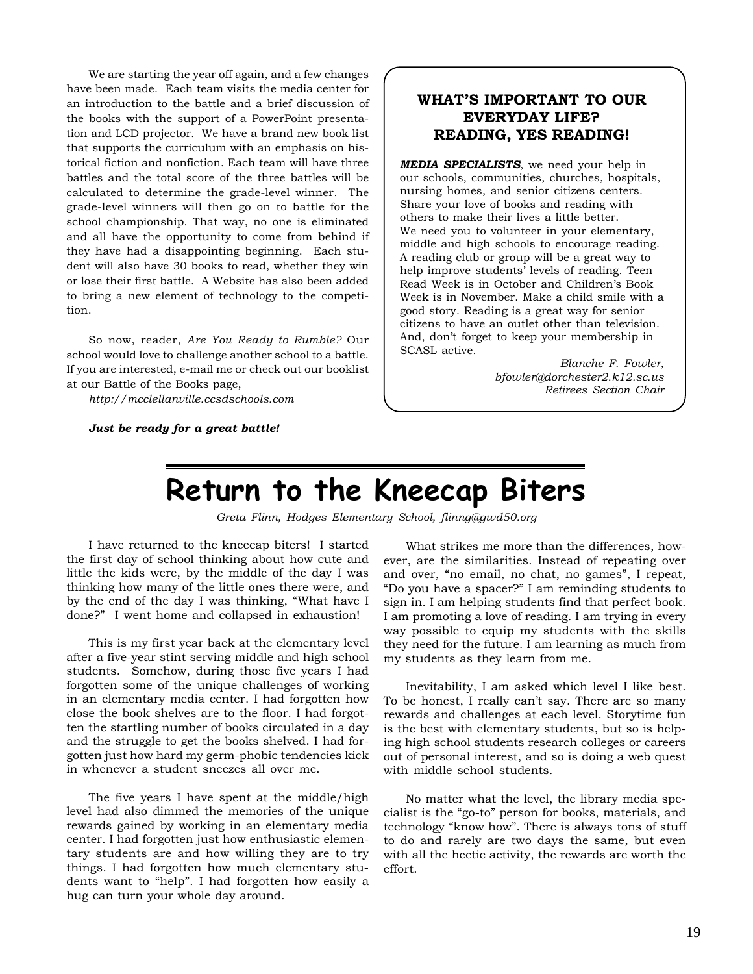We are starting the year off again, and a few changes have been made. Each team visits the media center for an introduction to the battle and a brief discussion of the books with the support of a PowerPoint presentation and LCD projector. We have a brand new book list that supports the curriculum with an emphasis on historical fiction and nonfiction. Each team will have three battles and the total score of the three battles will be calculated to determine the grade-level winner. The grade-level winners will then go on to battle for the school championship. That way, no one is eliminated and all have the opportunity to come from behind if they have had a disappointing beginning. Each student will also have 30 books to read, whether they win or lose their first battle. A Website has also been added to bring a new element of technology to the competition.

So now, reader, *Are You Ready to Rumble?* Our school would love to challenge another school to a battle. If you are interested, e-mail me or check out our booklist at our Battle of the Books page,

*http://mcclellanville.ccsdschools.com*

*Just be ready for a great battle!*

## **WHAT'S IMPORTANT TO OUR EVERYDAY LIFE? READING, YES READING!**

*MEDIA SPECIALISTS*, we need your help in our schools, communities, churches, hospitals, nursing homes, and senior citizens centers. Share your love of books and reading with others to make their lives a little better. We need you to volunteer in your elementary, middle and high schools to encourage reading. A reading club or group will be a great way to help improve students' levels of reading. Teen Read Week is in October and Children's Book Week is in November. Make a child smile with a good story. Reading is a great way for senior citizens to have an outlet other than television. And, don't forget to keep your membership in SCASL active.

> *Blanche F. Fowler, bfowler@dorchester2.k12.sc.us Retirees Section Chair*

# **Return to the Kneecap Biters**

*Greta Flinn, Hodges Elementary School, flinng@gwd50.org*

I have returned to the kneecap biters! I started the first day of school thinking about how cute and little the kids were, by the middle of the day I was thinking how many of the little ones there were, and by the end of the day I was thinking, "What have I done?" I went home and collapsed in exhaustion!

This is my first year back at the elementary level after a five-year stint serving middle and high school students. Somehow, during those five years I had forgotten some of the unique challenges of working in an elementary media center. I had forgotten how close the book shelves are to the floor. I had forgotten the startling number of books circulated in a day and the struggle to get the books shelved. I had forgotten just how hard my germ-phobic tendencies kick in whenever a student sneezes all over me.

The five years I have spent at the middle/high level had also dimmed the memories of the unique rewards gained by working in an elementary media center. I had forgotten just how enthusiastic elementary students are and how willing they are to try things. I had forgotten how much elementary students want to "help". I had forgotten how easily a hug can turn your whole day around.

What strikes me more than the differences, however, are the similarities. Instead of repeating over and over, "no email, no chat, no games", I repeat, "Do you have a spacer?" I am reminding students to sign in. I am helping students find that perfect book. I am promoting a love of reading. I am trying in every way possible to equip my students with the skills they need for the future. I am learning as much from my students as they learn from me.

Inevitability, I am asked which level I like best. To be honest, I really can't say. There are so many rewards and challenges at each level. Storytime fun is the best with elementary students, but so is helping high school students research colleges or careers out of personal interest, and so is doing a web quest with middle school students.

No matter what the level, the library media specialist is the "go-to" person for books, materials, and technology "know how". There is always tons of stuff to do and rarely are two days the same, but even with all the hectic activity, the rewards are worth the effort.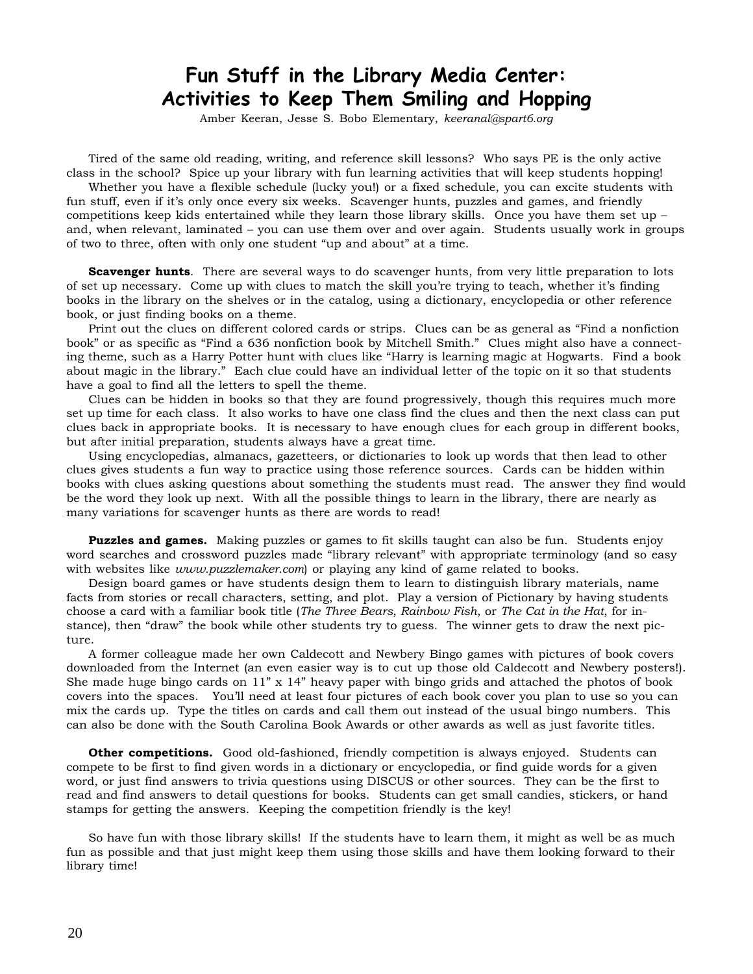# **Fun Stuff in the Library Media Center: Activities to Keep Them Smiling and Hopping**

Amber Keeran, Jesse S. Bobo Elementary, *keeranal@spart6.org*

Tired of the same old reading, writing, and reference skill lessons? Who says PE is the only active class in the school? Spice up your library with fun learning activities that will keep students hopping!

Whether you have a flexible schedule (lucky you!) or a fixed schedule, you can excite students with fun stuff, even if it's only once every six weeks. Scavenger hunts, puzzles and games, and friendly competitions keep kids entertained while they learn those library skills. Once you have them set up – and, when relevant, laminated – you can use them over and over again. Students usually work in groups of two to three, often with only one student "up and about" at a time.

**Scavenger hunts**. There are several ways to do scavenger hunts, from very little preparation to lots of set up necessary. Come up with clues to match the skill you're trying to teach, whether it's finding books in the library on the shelves or in the catalog, using a dictionary, encyclopedia or other reference book, or just finding books on a theme.

Print out the clues on different colored cards or strips. Clues can be as general as "Find a nonfiction book" or as specific as "Find a 636 nonfiction book by Mitchell Smith." Clues might also have a connecting theme, such as a Harry Potter hunt with clues like "Harry is learning magic at Hogwarts. Find a book about magic in the library." Each clue could have an individual letter of the topic on it so that students have a goal to find all the letters to spell the theme.

Clues can be hidden in books so that they are found progressively, though this requires much more set up time for each class. It also works to have one class find the clues and then the next class can put clues back in appropriate books. It is necessary to have enough clues for each group in different books, but after initial preparation, students always have a great time.

Using encyclopedias, almanacs, gazetteers, or dictionaries to look up words that then lead to other clues gives students a fun way to practice using those reference sources. Cards can be hidden within books with clues asking questions about something the students must read. The answer they find would be the word they look up next. With all the possible things to learn in the library, there are nearly as many variations for scavenger hunts as there are words to read!

**Puzzles and games.** Making puzzles or games to fit skills taught can also be fun. Students enjoy word searches and crossword puzzles made "library relevant" with appropriate terminology (and so easy with websites like *www.puzzlemaker.com*) or playing any kind of game related to books.

Design board games or have students design them to learn to distinguish library materials, name facts from stories or recall characters, setting, and plot. Play a version of Pictionary by having students choose a card with a familiar book title (*The Three Bears*, *Rainbow Fish*, or *The Cat in the Hat*, for instance), then "draw" the book while other students try to guess. The winner gets to draw the next picture.

A former colleague made her own Caldecott and Newbery Bingo games with pictures of book covers downloaded from the Internet (an even easier way is to cut up those old Caldecott and Newbery posters!). She made huge bingo cards on 11" x 14" heavy paper with bingo grids and attached the photos of book covers into the spaces. You'll need at least four pictures of each book cover you plan to use so you can mix the cards up. Type the titles on cards and call them out instead of the usual bingo numbers. This can also be done with the South Carolina Book Awards or other awards as well as just favorite titles.

**Other competitions.** Good old-fashioned, friendly competition is always enjoyed. Students can compete to be first to find given words in a dictionary or encyclopedia, or find guide words for a given word, or just find answers to trivia questions using DISCUS or other sources. They can be the first to read and find answers to detail questions for books. Students can get small candies, stickers, or hand stamps for getting the answers. Keeping the competition friendly is the key!

So have fun with those library skills! If the students have to learn them, it might as well be as much fun as possible and that just might keep them using those skills and have them looking forward to their library time!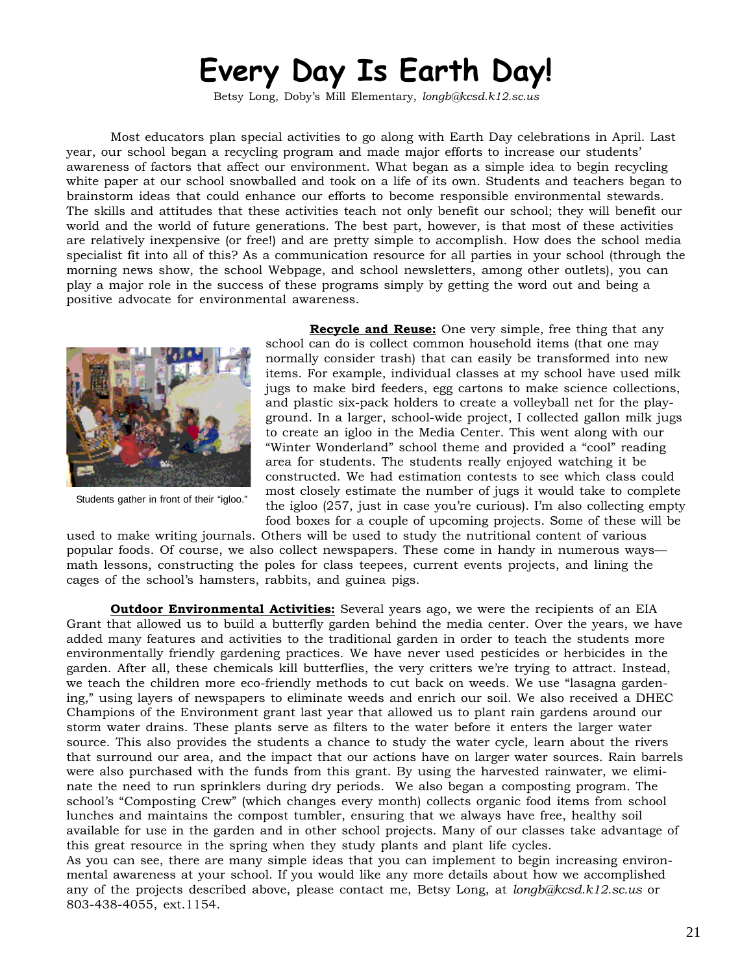# **Every Day Is Earth Day!**

Betsy Long, Doby's Mill Elementary, *longb@kcsd.k12.sc.us*

Most educators plan special activities to go along with Earth Day celebrations in April. Last year, our school began a recycling program and made major efforts to increase our students' awareness of factors that affect our environment. What began as a simple idea to begin recycling white paper at our school snowballed and took on a life of its own. Students and teachers began to brainstorm ideas that could enhance our efforts to become responsible environmental stewards. The skills and attitudes that these activities teach not only benefit our school; they will benefit our world and the world of future generations. The best part, however, is that most of these activities are relatively inexpensive (or free!) and are pretty simple to accomplish. How does the school media specialist fit into all of this? As a communication resource for all parties in your school (through the morning news show, the school Webpage, and school newsletters, among other outlets), you can play a major role in the success of these programs simply by getting the word out and being a positive advocate for environmental awareness.



Students gather in front of their "igloo."

**Recycle and Reuse:** One very simple, free thing that any school can do is collect common household items (that one may normally consider trash) that can easily be transformed into new items. For example, individual classes at my school have used milk jugs to make bird feeders, egg cartons to make science collections, and plastic six-pack holders to create a volleyball net for the playground. In a larger, school-wide project, I collected gallon milk jugs to create an igloo in the Media Center. This went along with our "Winter Wonderland" school theme and provided a "cool" reading area for students. The students really enjoyed watching it be constructed. We had estimation contests to see which class could most closely estimate the number of jugs it would take to complete the igloo (257, just in case you're curious). I'm also collecting empty food boxes for a couple of upcoming projects. Some of these will be

used to make writing journals. Others will be used to study the nutritional content of various popular foods. Of course, we also collect newspapers. These come in handy in numerous ways math lessons, constructing the poles for class teepees, current events projects, and lining the cages of the school's hamsters, rabbits, and guinea pigs.

**Outdoor Environmental Activities:** Several years ago, we were the recipients of an EIA Grant that allowed us to build a butterfly garden behind the media center. Over the years, we have added many features and activities to the traditional garden in order to teach the students more environmentally friendly gardening practices. We have never used pesticides or herbicides in the garden. After all, these chemicals kill butterflies, the very critters we're trying to attract. Instead, we teach the children more eco-friendly methods to cut back on weeds. We use "lasagna gardening," using layers of newspapers to eliminate weeds and enrich our soil. We also received a DHEC Champions of the Environment grant last year that allowed us to plant rain gardens around our storm water drains. These plants serve as filters to the water before it enters the larger water source. This also provides the students a chance to study the water cycle, learn about the rivers that surround our area, and the impact that our actions have on larger water sources. Rain barrels were also purchased with the funds from this grant. By using the harvested rainwater, we eliminate the need to run sprinklers during dry periods. We also began a composting program. The school's "Composting Crew" (which changes every month) collects organic food items from school lunches and maintains the compost tumbler, ensuring that we always have free, healthy soil available for use in the garden and in other school projects. Many of our classes take advantage of this great resource in the spring when they study plants and plant life cycles.

As you can see, there are many simple ideas that you can implement to begin increasing environmental awareness at your school. If you would like any more details about how we accomplished any of the projects described above, please contact me, Betsy Long, at *longb@kcsd.k12.sc.us* or 803-438-4055, ext.1154.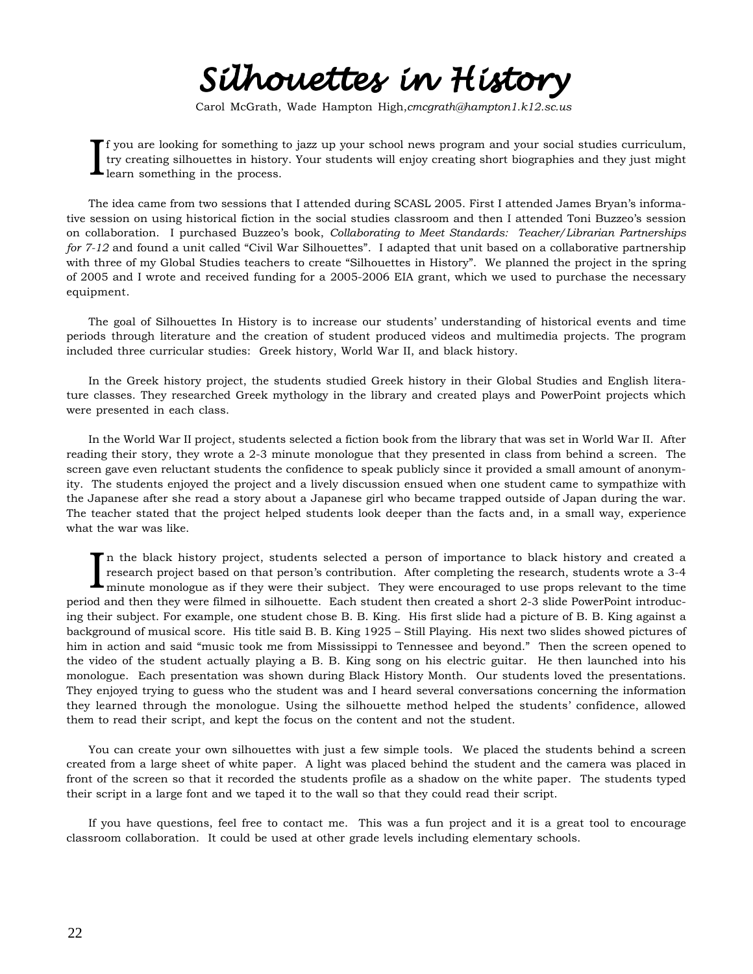*Silhouettes in History Silhouettes in History*

Carol McGrath, Wade Hampton High,*cmcgrath@hampton1.k12.sc.us*

I f you are looking for something to jazz up your school news program and your social studies curriculum, try creating silhouettes in history. Your students will enjoy creating short biographies and they just might learn something in the process.

The idea came from two sessions that I attended during SCASL 2005. First I attended James Bryan's informative session on using historical fiction in the social studies classroom and then I attended Toni Buzzeo's session on collaboration. I purchased Buzzeo's book, *Collaborating to Meet Standards: Teacher/Librarian Partnerships for 7-12* and found a unit called "Civil War Silhouettes". I adapted that unit based on a collaborative partnership with three of my Global Studies teachers to create "Silhouettes in History". We planned the project in the spring of 2005 and I wrote and received funding for a 2005-2006 EIA grant, which we used to purchase the necessary equipment.

The goal of Silhouettes In History is to increase our students' understanding of historical events and time periods through literature and the creation of student produced videos and multimedia projects. The program included three curricular studies: Greek history, World War II, and black history.

In the Greek history project, the students studied Greek history in their Global Studies and English literature classes. They researched Greek mythology in the library and created plays and PowerPoint projects which were presented in each class.

In the World War II project, students selected a fiction book from the library that was set in World War II. After reading their story, they wrote a 2-3 minute monologue that they presented in class from behind a screen. The screen gave even reluctant students the confidence to speak publicly since it provided a small amount of anonymity. The students enjoyed the project and a lively discussion ensued when one student came to sympathize with the Japanese after she read a story about a Japanese girl who became trapped outside of Japan during the war. The teacher stated that the project helped students look deeper than the facts and, in a small way, experience what the war was like.

In the black history project, students selected a person of importance to black history and created a research project based on that person's contribution. After completing the research, students wrote a 3-4 minute monolog n the black history project, students selected a person of importance to black history and created a research project based on that person's contribution. After completing the research, students wrote a 3-4 period and then they were filmed in silhouette. Each student then created a short 2-3 slide PowerPoint introducing their subject. For example, one student chose B. B. King. His first slide had a picture of B. B. King against a background of musical score. His title said B. B. King 1925 – Still Playing. His next two slides showed pictures of him in action and said "music took me from Mississippi to Tennessee and beyond." Then the screen opened to the video of the student actually playing a B. B. King song on his electric guitar. He then launched into his monologue. Each presentation was shown during Black History Month. Our students loved the presentations. They enjoyed trying to guess who the student was and I heard several conversations concerning the information they learned through the monologue. Using the silhouette method helped the students' confidence, allowed them to read their script, and kept the focus on the content and not the student.

You can create your own silhouettes with just a few simple tools. We placed the students behind a screen created from a large sheet of white paper. A light was placed behind the student and the camera was placed in front of the screen so that it recorded the students profile as a shadow on the white paper. The students typed their script in a large font and we taped it to the wall so that they could read their script.

If you have questions, feel free to contact me. This was a fun project and it is a great tool to encourage classroom collaboration. It could be used at other grade levels including elementary schools.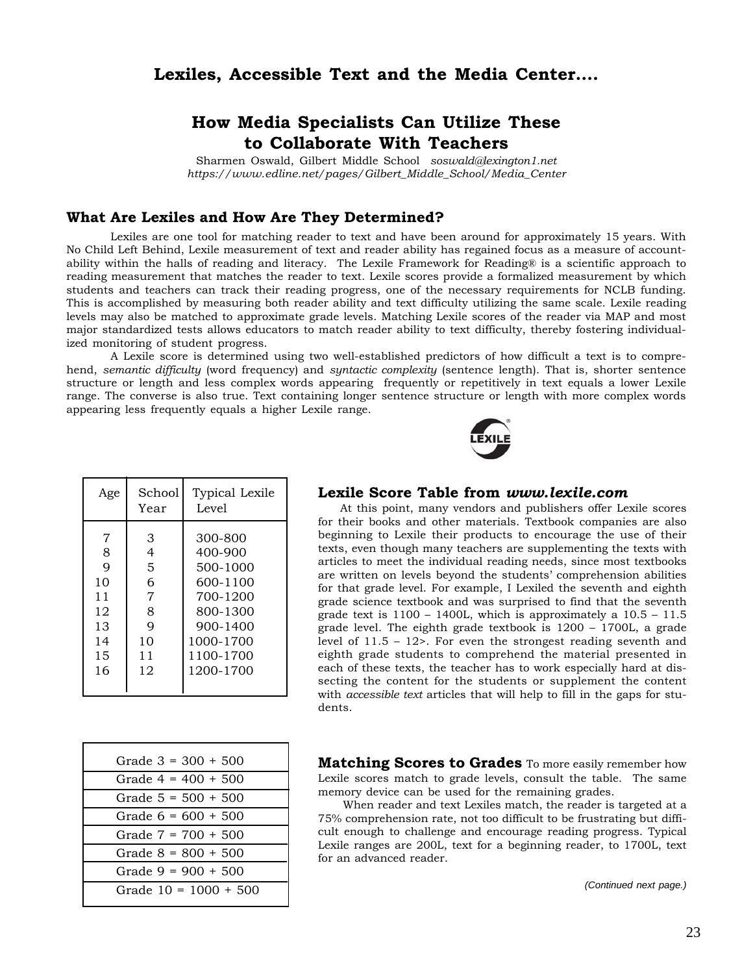## **Lexiles, Accessible Text and the Media Center….**

## **How Media Specialists Can Utilize These to Collaborate With Teachers**

Sharmen Oswald, Gilbert Middle School *soswald@lexington1.net https://www.edline.net/pages/Gilbert\_Middle\_School/Media\_Center*

### **What Are Lexiles and How Are They Determined?**

Lexiles are one tool for matching reader to text and have been around for approximately 15 years. With No Child Left Behind, Lexile measurement of text and reader ability has regained focus as a measure of accountability within the halls of reading and literacy. The Lexile Framework for Reading® is a scientific approach to reading measurement that matches the reader to text. Lexile scores provide a formalized measurement by which students and teachers can track their reading progress, one of the necessary requirements for NCLB funding. This is accomplished by measuring both reader ability and text difficulty utilizing the same scale. Lexile reading levels may also be matched to approximate grade levels. Matching Lexile scores of the reader via MAP and most major standardized tests allows educators to match reader ability to text difficulty, thereby fostering individualized monitoring of student progress.

A Lexile score is determined using two well-established predictors of how difficult a text is to comprehend, *semantic difficulty* (word frequency) and *syntactic complexity* (sentence length). That is, shorter sentence structure or length and less complex words appearing frequently or repetitively in text equals a lower Lexile range. The converse is also true. Text containing longer sentence structure or length with more complex words appearing less frequently equals a higher Lexile range.



| Age                                                   | School<br>Year                                    | Typical Lexile<br>Level                                                                                               |
|-------------------------------------------------------|---------------------------------------------------|-----------------------------------------------------------------------------------------------------------------------|
| 7<br>8<br>9<br>10<br>11<br>12<br>13<br>14<br>15<br>16 | З<br>4<br>5<br>6<br>7<br>8<br>9<br>10<br>11<br>12 | 300-800<br>400-900<br>500-1000<br>600-1100<br>700-1200<br>800-1300<br>900-1400<br>1000-1700<br>1100-1700<br>1200-1700 |
|                                                       |                                                   |                                                                                                                       |

### **Lexile Score Table from** *www.lexile.com*

At this point, many vendors and publishers offer Lexile scores for their books and other materials. Textbook companies are also beginning to Lexile their products to encourage the use of their texts, even though many teachers are supplementing the texts with articles to meet the individual reading needs, since most textbooks are written on levels beyond the students' comprehension abilities for that grade level. For example, I Lexiled the seventh and eighth grade science textbook and was surprised to find that the seventh grade text is  $1100 - 1400L$ , which is approximately a  $10.5 - 11.5$ grade level. The eighth grade textbook is 1200 – 1700L, a grade level of 11.5 – 12>. For even the strongest reading seventh and eighth grade students to comprehend the material presented in each of these texts, the teacher has to work especially hard at dissecting the content for the students or supplement the content with *accessible text* articles that will help to fill in the gaps for students.

| Grade $3 = 300 + 500$   |
|-------------------------|
| Grade $4 = 400 + 500$   |
| Grade $5 = 500 + 500$   |
| Grade $6 = 600 + 500$   |
| Grade $7 = 700 + 500$   |
| Grade $8 = 800 + 500$   |
| Grade $9 = 900 + 500$   |
| Grade $10 = 1000 + 500$ |

**Matching Scores to Grades** To more easily remember how Lexile scores match to grade levels, consult the table. The same memory device can be used for the remaining grades.

When reader and text Lexiles match, the reader is targeted at a 75% comprehension rate, not too difficult to be frustrating but difficult enough to challenge and encourage reading progress. Typical Lexile ranges are 200L, text for a beginning reader, to 1700L, text for an advanced reader.

*(Continued next page.)*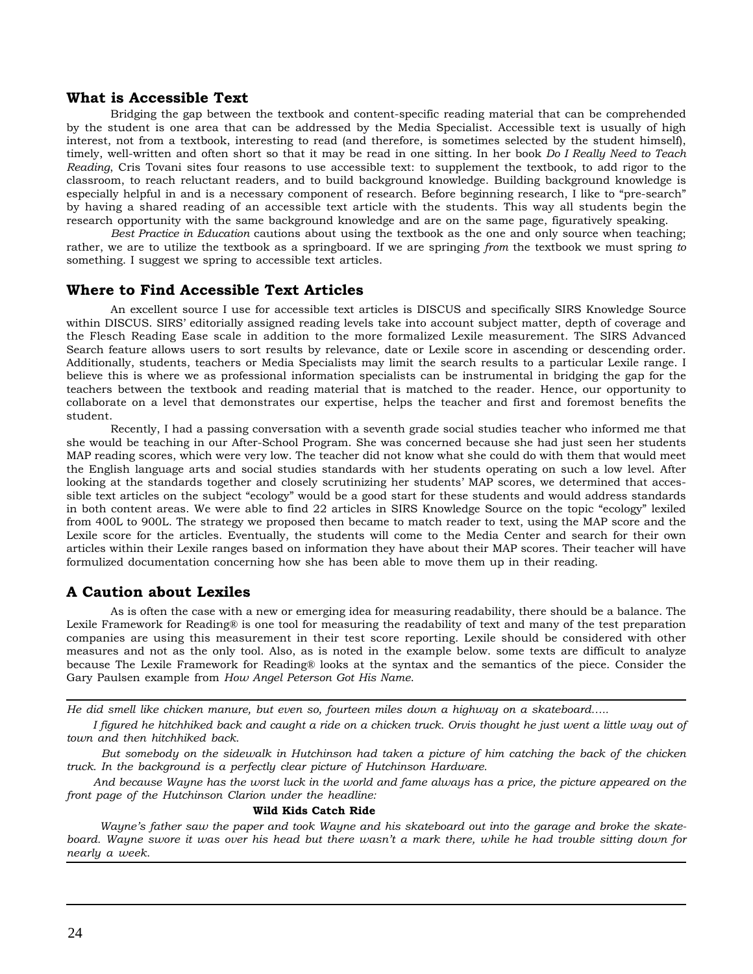### **What is Accessible Text**

Bridging the gap between the textbook and content-specific reading material that can be comprehended by the student is one area that can be addressed by the Media Specialist. Accessible text is usually of high interest, not from a textbook, interesting to read (and therefore, is sometimes selected by the student himself), timely, well-written and often short so that it may be read in one sitting. In her book *Do I Really Need to Teach Reading*, Cris Tovani sites four reasons to use accessible text: to supplement the textbook, to add rigor to the classroom, to reach reluctant readers, and to build background knowledge. Building background knowledge is especially helpful in and is a necessary component of research. Before beginning research, I like to "pre-search" by having a shared reading of an accessible text article with the students. This way all students begin the research opportunity with the same background knowledge and are on the same page, figuratively speaking.

*Best Practice in Education* cautions about using the textbook as the one and only source when teaching; rather, we are to utilize the textbook as a springboard. If we are springing *from* the textbook we must spring *to* something. I suggest we spring to accessible text articles.

### **Where to Find Accessible Text Articles**

An excellent source I use for accessible text articles is DISCUS and specifically SIRS Knowledge Source within DISCUS. SIRS' editorially assigned reading levels take into account subject matter, depth of coverage and the Flesch Reading Ease scale in addition to the more formalized Lexile measurement. The SIRS Advanced Search feature allows users to sort results by relevance, date or Lexile score in ascending or descending order. Additionally, students, teachers or Media Specialists may limit the search results to a particular Lexile range. I believe this is where we as professional information specialists can be instrumental in bridging the gap for the teachers between the textbook and reading material that is matched to the reader. Hence, our opportunity to collaborate on a level that demonstrates our expertise, helps the teacher and first and foremost benefits the student.

Recently, I had a passing conversation with a seventh grade social studies teacher who informed me that she would be teaching in our After-School Program. She was concerned because she had just seen her students MAP reading scores, which were very low. The teacher did not know what she could do with them that would meet the English language arts and social studies standards with her students operating on such a low level. After looking at the standards together and closely scrutinizing her students' MAP scores, we determined that accessible text articles on the subject "ecology" would be a good start for these students and would address standards in both content areas. We were able to find 22 articles in SIRS Knowledge Source on the topic "ecology" lexiled from 400L to 900L. The strategy we proposed then became to match reader to text, using the MAP score and the Lexile score for the articles. Eventually, the students will come to the Media Center and search for their own articles within their Lexile ranges based on information they have about their MAP scores. Their teacher will have formulized documentation concerning how she has been able to move them up in their reading.

### **A Caution about Lexiles**

As is often the case with a new or emerging idea for measuring readability, there should be a balance. The Lexile Framework for Reading® is one tool for measuring the readability of text and many of the test preparation companies are using this measurement in their test score reporting. Lexile should be considered with other measures and not as the only tool. Also, as is noted in the example below. some texts are difficult to analyze because The Lexile Framework for Reading® looks at the syntax and the semantics of the piece. Consider the Gary Paulsen example from *How Angel Peterson Got His Name*.

*He did smell like chicken manure, but even so, fourteen miles down a highway on a skateboard…..*

 *I figured he hitchhiked back and caught a ride on a chicken truck. Orvis thought he just went a little way out of town and then hitchhiked back.*

 *But somebody on the sidewalk in Hutchinson had taken a picture of him catching the back of the chicken truck. In the background is a perfectly clear picture of Hutchinson Hardware.*

 *And because Wayne has the worst luck in the world and fame always has a price, the picture appeared on the front page of the Hutchinson Clarion under the headline:*

### **Wild Kids Catch Ride**

 *Wayne's father saw the paper and took Wayne and his skateboard out into the garage and broke the skateboard. Wayne swore it was over his head but there wasn't a mark there, while he had trouble sitting down for nearly a week.*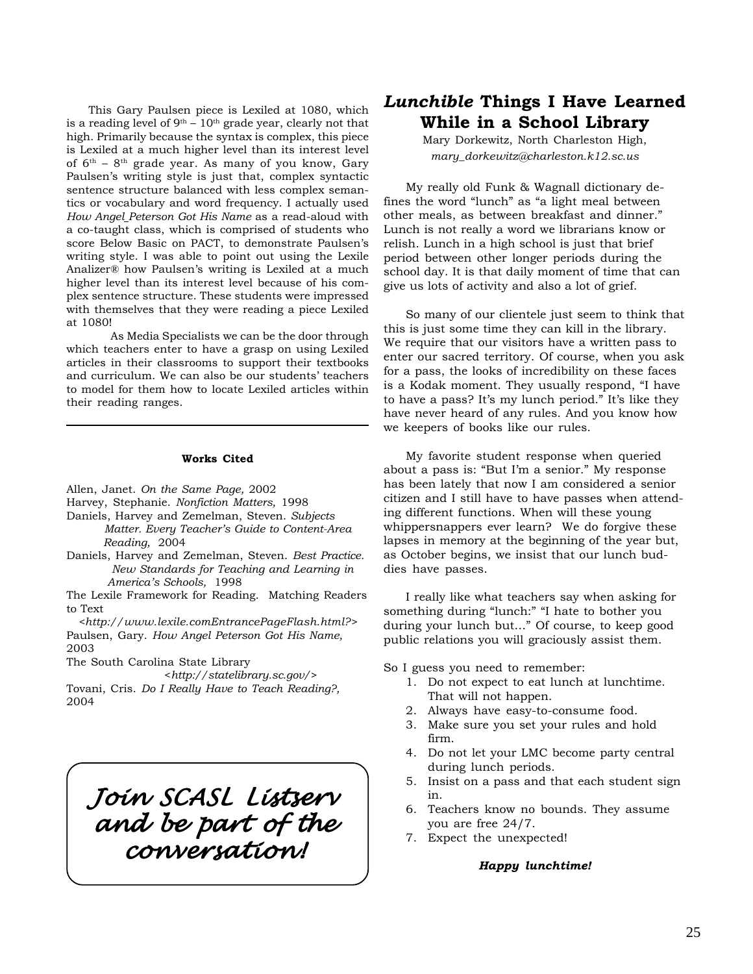This Gary Paulsen piece is Lexiled at 1080, which is a reading level of  $9<sup>th</sup> - 10<sup>th</sup>$  grade year, clearly not that high. Primarily because the syntax is complex, this piece is Lexiled at a much higher level than its interest level of  $6<sup>th</sup>$  –  $8<sup>th</sup>$  grade year. As many of you know, Gary Paulsen's writing style is just that, complex syntactic sentence structure balanced with less complex semantics or vocabulary and word frequency. I actually used *How Angel Peterson Got His Name* as a read-aloud with a co-taught class, which is comprised of students who score Below Basic on PACT, to demonstrate Paulsen's writing style. I was able to point out using the Lexile Analizer® how Paulsen's writing is Lexiled at a much higher level than its interest level because of his complex sentence structure. These students were impressed with themselves that they were reading a piece Lexiled at 1080!

As Media Specialists we can be the door through which teachers enter to have a grasp on using Lexiled articles in their classrooms to support their textbooks and curriculum. We can also be our students' teachers to model for them how to locate Lexiled articles within their reading ranges.

### **Works Cited**

Allen, Janet. *On the Same Page,* 2002

- Harvey, Stephanie. *Nonfiction Matters,* 1998
- Daniels, Harvey and Zemelman, Steven. *Subjects Matter. Every Teacher's Guide to Content-Area*
- *Reading,* 2004 Daniels, Harvey and Zemelman, Steven. *Best Practice. New Standards for Teaching and Learning in America's Schools,* 1998

The Lexile Framework for Reading. Matching Readers to Text

*<http://www.lexile.comEntrancePageFlash.html?>* Paulsen, Gary. *How Angel Peterson Got His Name,* 2003

The South Carolina State Library

 <*http://statelibrary.sc.gov/*> Tovani, Cris. *Do I Really Have to Teach Reading?,* 2004

*Join SCASL Listserv Join and be part of the and be part of conversation! conversation!*

## *Lunchible* **Things I Have Learned While in a School Library**

Mary Dorkewitz, North Charleston High, *mary\_dorkewitz@charleston.k12.sc.us*

My really old Funk & Wagnall dictionary defines the word "lunch" as "a light meal between other meals, as between breakfast and dinner." Lunch is not really a word we librarians know or relish. Lunch in a high school is just that brief period between other longer periods during the school day. It is that daily moment of time that can give us lots of activity and also a lot of grief.

So many of our clientele just seem to think that this is just some time they can kill in the library. We require that our visitors have a written pass to enter our sacred territory. Of course, when you ask for a pass, the looks of incredibility on these faces is a Kodak moment. They usually respond, "I have to have a pass? It's my lunch period." It's like they have never heard of any rules. And you know how we keepers of books like our rules.

My favorite student response when queried about a pass is: "But I'm a senior." My response has been lately that now I am considered a senior citizen and I still have to have passes when attending different functions. When will these young whippersnappers ever learn? We do forgive these lapses in memory at the beginning of the year but, as October begins, we insist that our lunch buddies have passes.

I really like what teachers say when asking for something during "lunch:" "I hate to bother you during your lunch but…" Of course, to keep good public relations you will graciously assist them.

So I guess you need to remember:

- 1. Do not expect to eat lunch at lunchtime. That will not happen.
- 2. Always have easy-to-consume food.
- 3. Make sure you set your rules and hold firm.
- 4. Do not let your LMC become party central during lunch periods.
- 5. Insist on a pass and that each student sign in.
- 6. Teachers know no bounds. They assume you are free 24/7.
- 7. Expect the unexpected!

### *Happy lunchtime!*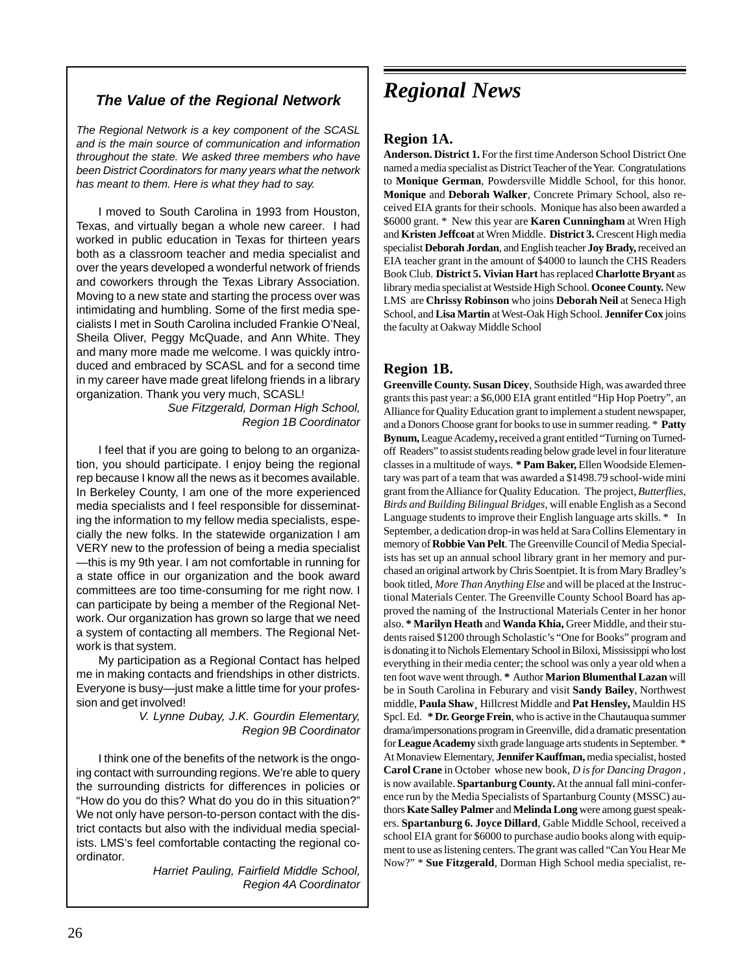## *The Value of the Regional Network*

*The Regional Network is a key component of the SCASL and is the main source of communication and information throughout the state. We asked three members who have been District Coordinators for many years what the network has meant to them. Here is what they had to say.*

I moved to South Carolina in 1993 from Houston, Texas, and virtually began a whole new career. I had worked in public education in Texas for thirteen years both as a classroom teacher and media specialist and over the years developed a wonderful network of friends and coworkers through the Texas Library Association. Moving to a new state and starting the process over was intimidating and humbling. Some of the first media specialists I met in South Carolina included Frankie O'Neal, Sheila Oliver, Peggy McQuade, and Ann White. They and many more made me welcome. I was quickly introduced and embraced by SCASL and for a second time in my career have made great lifelong friends in a library organization. Thank you very much, SCASL!

*Sue Fitzgerald, Dorman High School, Region 1B Coordinator*

I feel that if you are going to belong to an organization, you should participate. I enjoy being the regional rep because I know all the news as it becomes available. In Berkeley County, I am one of the more experienced media specialists and I feel responsible for disseminating the information to my fellow media specialists, especially the new folks. In the statewide organization I am VERY new to the profession of being a media specialist —this is my 9th year. I am not comfortable in running for a state office in our organization and the book award committees are too time-consuming for me right now. I can participate by being a member of the Regional Network. Our organization has grown so large that we need a system of contacting all members. The Regional Network is that system.

My participation as a Regional Contact has helped me in making contacts and friendships in other districts. Everyone is busy—just make a little time for your profession and get involved!

> *V. Lynne Dubay, J.K. Gourdin Elementary, Region 9B Coordinator*

I think one of the benefits of the network is the ongoing contact with surrounding regions. We're able to query the surrounding districts for differences in policies or "How do you do this? What do you do in this situation?" We not only have person-to-person contact with the district contacts but also with the individual media specialists. LMS's feel comfortable contacting the regional coordinator.

> *Harriet Pauling, Fairfield Middle School, Region 4A Coordinator*

# *Regional News*

## **Region 1A.**

**Anderson. District 1.** For the first time Anderson School District One named a media specialist as District Teacher of the Year. Congratulations to **Monique German**, Powdersville Middle School, for this honor. **Monique** and **Deborah Walker**, Concrete Primary School, also received EIA grants for their schools. Monique has also been awarded a \$6000 grant. \* New this year are **Karen Cunningham** at Wren High and **Kristen Jeffcoat** at Wren Middle. **District 3.** Crescent High media specialist **Deborah Jordan**, and English teacher **Joy Brady,** received an EIA teacher grant in the amount of \$4000 to launch the CHS Readers Book Club. **District 5. Vivian Hart** has replaced **Charlotte Bryant** as library media specialist at Westside High School. **Oconee County.** New LMS are **Chrissy Robinson** who joins **Deborah Neil** at Seneca High School, and **Lisa Martin** at West-Oak High School. **Jennifer Cox** joins the faculty at Oakway Middle School

## **Region 1B.**

**Greenville County. Susan Dicey**, Southside High, was awarded three grants this past year: a \$6,000 EIA grant entitled "Hip Hop Poetry", an Alliance for Quality Education grant to implement a student newspaper, and a Donors Choose grant for books to use in summer reading. \* **Patty Bynum,** League Academy**,** received a grant entitled "Turning on Turnedoff Readers" to assist students reading below grade level in four literature classes in a multitude of ways. **\* Pam Baker,** Ellen Woodside Elementary was part of a team that was awarded a \$1498.79 school-wide mini grant from the Alliance for Quality Education. The project, *Butterflies, Birds and Building Bilingual Bridges,* will enable English as a Second Language students to improve their English language arts skills. \* In September, a dedication drop-in was held at Sara Collins Elementary in memory of **Robbie Van Pelt**. The Greenville Council of Media Specialists has set up an annual school library grant in her memory and purchased an original artwork by Chris Soentpiet. It is from Mary Bradley's book titled, *More Than Anything Else* and will be placed at the Instructional Materials Center. The Greenville County School Board has approved the naming of the Instructional Materials Center in her honor also. **\* Marilyn Heath** and **Wanda Khia,** Greer Middle, and their students raised \$1200 through Scholastic's "One for Books" program and is donating it to Nichols Elementary School in Biloxi, Mississippi who lost everything in their media center; the school was only a year old when a ten foot wave went through. **\*** Author **Marion Blumenthal Lazan** will be in South Carolina in Feburary and visit **Sandy Bailey**, Northwest middle, **Paula Shaw¸** Hillcrest Middle and **Pat Hensley,** Mauldin HS Spcl. Ed. **\* Dr. George Frein**, who is active in the Chautauqua summer drama/impersonations program in Greenville, did a dramatic presentation for **League Academy** sixth grade language arts students in September. \* At Monaview Elementary, **Jennifer Kauffman,** media specialist, hosted **Carol Crane** in October whose new book, *D is for Dancing Dragon* , is now available. **Spartanburg County.** At the annual fall mini-conference run by the Media Specialists of Spartanburg County (MSSC) authors **Kate Salley Palmer** and **Melinda Long** were among guest speakers. **Spartanburg 6. Joyce Dillard**, Gable Middle School, received a school EIA grant for \$6000 to purchase audio books along with equipment to use as listening centers. The grant was called "Can You Hear Me Now?" \* **Sue Fitzgerald**, Dorman High School media specialist, re-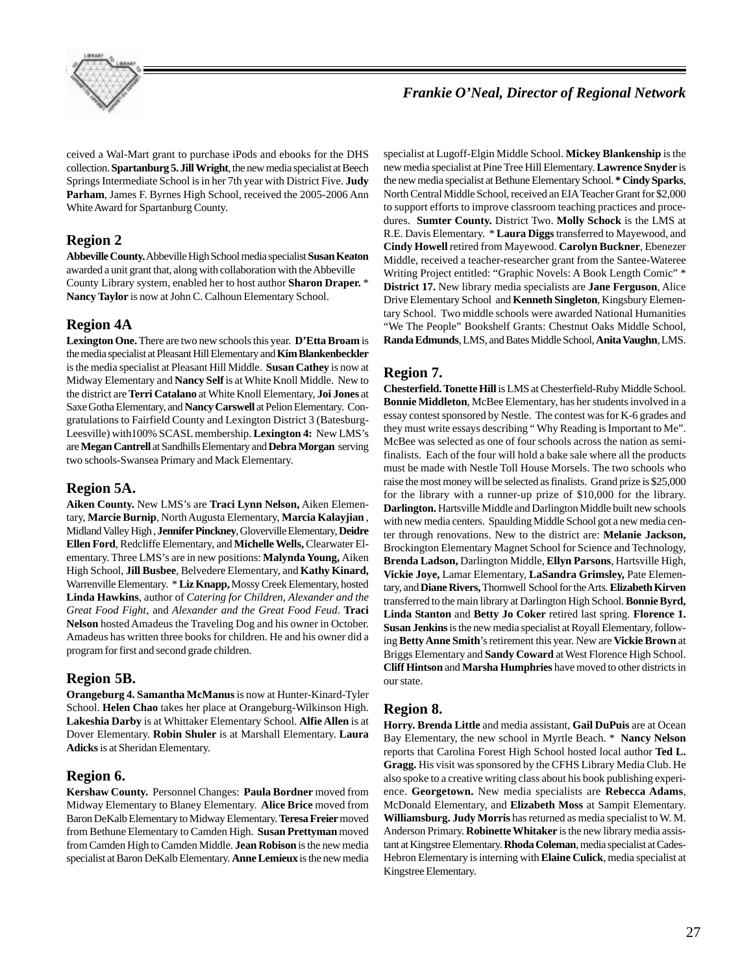

## *Frankie O'Neal, Director of Regional Network*

ceived a Wal-Mart grant to purchase iPods and ebooks for the DHS collection. **Spartanburg 5. Jill Wright**, the new media specialist at Beech Springs Intermediate School is in her 7th year with District Five. **Judy Parham**, James F. Byrnes High School, received the 2005-2006 Ann White Award for Spartanburg County.

## **Region 2**

**Abbeville County.** Abbeville High School media specialist **Susan Keaton** awarded a unit grant that, along with collaboration with the Abbeville County Library system, enabled her to host author **Sharon Draper.** \* **Nancy Taylor** is now at John C. Calhoun Elementary School.

## **Region 4A**

**Lexington One.** There are two new schools this year. **D'Etta Broam** is the media specialist at Pleasant Hill Elementary and **Kim Blankenbeckler** is the media specialist at Pleasant Hill Middle. **Susan Cathey** is now at Midway Elementary and **Nancy Self** is at White Knoll Middle. New to the district are **Terri Catalano** at White Knoll Elementary, **Joi Jones** at Saxe Gotha Elementary, and **Nancy Carswell** at Pelion Elementary. Congratulations to Fairfield County and Lexington District 3 (Batesburg-Leesville) with100% SCASL membership. **Lexington 4:** New LMS's are **Megan Cantrell** at Sandhills Elementary and **Debra Morgan** serving two schools-Swansea Primary and Mack Elementary.

### **Region 5A.**

**Aiken County.** New LMS's are **Traci Lynn Nelson,** Aiken Elementary, **Marcie Burnip**, North Augusta Elementary, **Marcia Kalayjian** , Midland Valley High , **Jennifer Pinckney**, Gloverville Elementary, **Deidre Ellen Ford**, Redcliffe Elementary, and **Michelle Wells,** Clearwater Elementary. Three LMS's are in new positions: **Malynda Young,** Aiken High School, **Jill Busbee**, Belvedere Elementary, and **Kathy Kinard,** Warrenville Elementary. \* **Liz Knapp,** Mossy Creek Elementary, hosted **Linda Hawkins**, author of *Catering for Children*, *Alexander and the Great Food Fight*, and *Alexander and the Great Food Feud*. **Traci Nelson** hosted Amadeus the Traveling Dog and his owner in October. Amadeus has written three books for children. He and his owner did a program for first and second grade children.

### **Region 5B.**

**Orangeburg 4. Samantha McManus** is now at Hunter-Kinard-Tyler School. **Helen Chao** takes her place at Orangeburg-Wilkinson High. **Lakeshia Darby** is at Whittaker Elementary School. **Alfie Allen** is at Dover Elementary. **Robin Shuler** is at Marshall Elementary. **Laura Adicks** is at Sheridan Elementary.

### **Region 6.**

**Kershaw County.** Personnel Changes: **Paula Bordner** moved from Midway Elementary to Blaney Elementary. **Alice Brice** moved from Baron DeKalb Elementary to Midway Elementary. **Teresa Freier** moved from Bethune Elementary to Camden High. **Susan Prettyman** moved from Camden High to Camden Middle. **Jean Robison** is the new media specialist at Baron DeKalb Elementary. **Anne Lemieux** is the new media

specialist at Lugoff-Elgin Middle School. **Mickey Blankenship** is the new media specialist at Pine Tree Hill Elementary. **Lawrence Snyder** is the new media specialist at Bethune Elementary School. **\* Cindy Sparks**, North Central Middle School, received an EIA Teacher Grant for \$2,000 to support efforts to improve classroom teaching practices and procedures. **Sumter County.** District Two. **Molly Schock** is the LMS at R.E. Davis Elementary. \* **Laura Diggs** transferred to Mayewood, and **Cindy Howell** retired from Mayewood. **Carolyn Buckner**, Ebenezer Middle, received a teacher-researcher grant from the Santee-Wateree Writing Project entitled: "Graphic Novels: A Book Length Comic" \* **District 17.** New library media specialists are **Jane Ferguson**, Alice Drive Elementary School and **Kenneth Singleton**, Kingsbury Elementary School. Two middle schools were awarded National Humanities "We The People" Bookshelf Grants: Chestnut Oaks Middle School, **Randa Edmunds**, LMS, and Bates Middle School, **Anita Vaughn**, LMS.

### **Region 7.**

**Chesterfield.Tonette Hill** is LMS at Chesterfield-Ruby Middle School. **Bonnie Middleton**, McBee Elementary, has her students involved in a essay contest sponsored by Nestle. The contest was for K-6 grades and they must write essays describing " Why Reading is Important to Me". McBee was selected as one of four schools across the nation as semifinalists. Each of the four will hold a bake sale where all the products must be made with Nestle Toll House Morsels. The two schools who raise the most money will be selected as finalists. Grand prize is \$25,000 for the library with a runner-up prize of \$10,000 for the library. **Darlington.** Hartsville Middle and Darlington Middle built new schools with new media centers. Spaulding Middle School got a new media center through renovations. New to the district are: **Melanie Jackson,** Brockington Elementary Magnet School for Science and Technology, **Brenda Ladson,** Darlington Middle, **Ellyn Parsons**, Hartsville High, **Vickie Joye,** Lamar Elementary, **LaSandra Grimsley,** Pate Elementary, and **Diane Rivers,** Thornwell School for the Arts. **Elizabeth Kirven** transferred to the main library at Darlington High School. **Bonnie Byrd, Linda Stanton** and **Betty Jo Coker** retired last spring. **Florence 1. Susan Jenkins** is the new media specialist at Royall Elementary, following **Betty Anne Smith**'s retirement this year. New are **Vickie Brown** at Briggs Elementary and **Sandy Coward** at West Florence High School. **Cliff Hintson** and **Marsha Humphries** have moved to other districts in our state.

### **Region 8.**

**Horry. Brenda Little** and media assistant, **Gail DuPuis** are at Ocean Bay Elementary, the new school in Myrtle Beach. \* **Nancy Nelson** reports that Carolina Forest High School hosted local author **Ted L. Gragg.** His visit was sponsored by the CFHS Library Media Club. He also spoke to a creative writing class about his book publishing experience. **Georgetown.** New media specialists are **Rebecca Adams**, McDonald Elementary, and **Elizabeth Moss** at Sampit Elementary. **Williamsburg. Judy Morris** has returned as media specialist to W. M. Anderson Primary. **Robinette Whitaker** is the new library media assistant at Kingstree Elementary. **Rhoda Coleman**, media specialist at Cades-Hebron Elementary is interning with **Elaine Culick**, media specialist at Kingstree Elementary.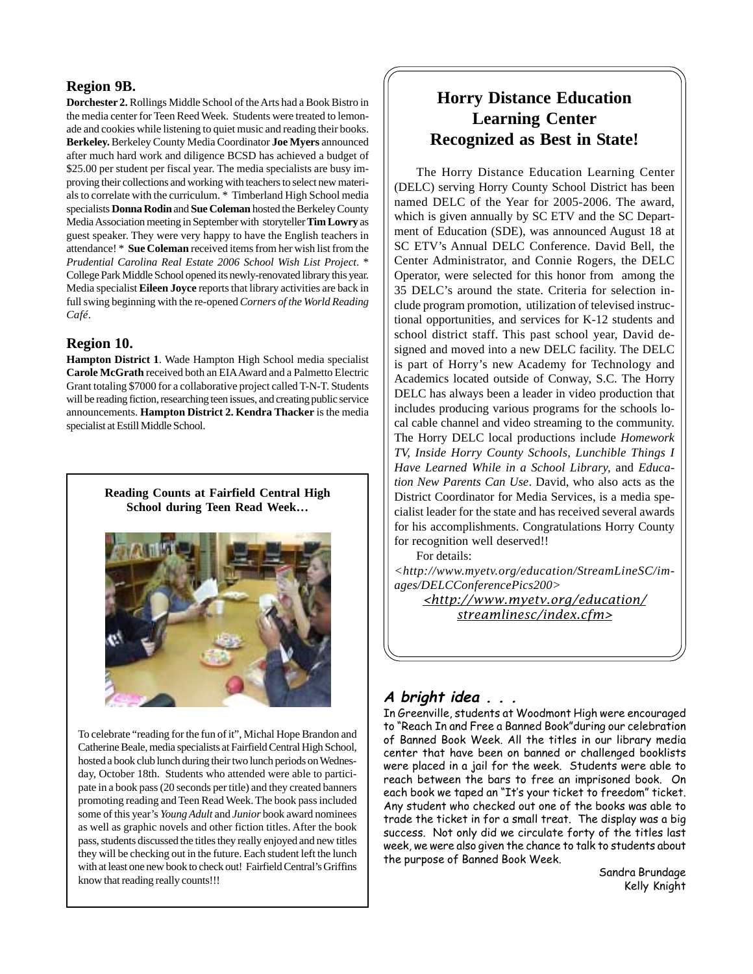## **Region 9B.**

**Dorchester 2.** Rollings Middle School of the Arts had a Book Bistro in the media center for Teen Reed Week. Students were treated to lemonade and cookies while listening to quiet music and reading their books. **Berkeley.** Berkeley County Media Coordinator **Joe Myers** announced after much hard work and diligence BCSD has achieved a budget of \$25.00 per student per fiscal year. The media specialists are busy improving their collections and working with teachers to select new materials to correlate with the curriculum. \* Timberland High School media specialists **Donna Rodin** and **Sue Coleman** hosted the Berkeley County Media Association meeting in September with storyteller **Tim Lowry** as guest speaker. They were very happy to have the English teachers in attendance! \* **Sue Coleman** received items from her wish list from the *Prudential Carolina Real Estate 2006 School Wish List Project*. \* College Park Middle School opened its newly-renovated library this year. Media specialist **Eileen Joyce** reports that library activities are back in full swing beginning with the re-opened *Corners of the World Reading Café*.

### **Region 10.**

**Hampton District 1**. Wade Hampton High School media specialist **Carole McGrath** received both an EIA Award and a Palmetto Electric Grant totaling \$7000 for a collaborative project called T-N-T. Students will be reading fiction, researching teen issues, and creating public service announcements. **Hampton District 2. Kendra Thacker** is the media specialist at Estill Middle School.

> **Reading Counts at Fairfield Central High School during Teen Read Week…**



To celebrate "reading for the fun of it", Michal Hope Brandon and Catherine Beale, media specialists at Fairfield Central High School, hosted a book club lunch during their two lunch periods on Wednesday, October 18th. Students who attended were able to participate in a book pass (20 seconds per title) and they created banners promoting reading and Teen Read Week. The book pass included some of this year's *Young Adult* and *Junior* book award nominees as well as graphic novels and other fiction titles. After the book pass, students discussed the titles they really enjoyed and new titles they will be checking out in the future. Each student left the lunch with at least one new book to check out! Fairfield Central's Griffins know that reading really counts!!!

## **Horry Distance Education Learning Center Recognized as Best in State!**

The Horry Distance Education Learning Center (DELC) serving Horry County School District has been named DELC of the Year for 2005-2006. The award, which is given annually by SC ETV and the SC Department of Education (SDE), was announced August 18 at SC ETV's Annual DELC Conference. David Bell, the Center Administrator, and Connie Rogers, the DELC Operator, were selected for this honor from among the 35 DELC's around the state. Criteria for selection include program promotion, utilization of televised instructional opportunities, and services for K-12 students and school district staff. This past school year, David designed and moved into a new DELC facility. The DELC is part of Horry's new Academy for Technology and Academics located outside of Conway, S.C. The Horry DELC has always been a leader in video production that includes producing various programs for the schools local cable channel and video streaming to the community. The Horry DELC local productions include *Homework TV, Inside Horry County Schools, Lunchible Things I Have Learned While in a School Library,* and *Education New Parents Can Use*. David, who also acts as the District Coordinator for Media Services, is a media specialist leader for the state and has received several awards for his accomplishments. Congratulations Horry County for recognition well deserved!!

For details:

*<http://www.myetv.org/education/StreamLineSC/images/DELCConferencePics200>*

*<http://www.myetv.org/education/ streamlinesc/index.cfm>*

## **A bright idea . . .**

In Greenville, students at Woodmont High were encouraged to "Reach In and Free a Banned Book"during our celebration of Banned Book Week. All the titles in our library media center that have been on banned or challenged booklists were placed in a jail for the week. Students were able to reach between the bars to free an imprisoned book. On each book we taped an "It's your ticket to freedom" ticket. Any student who checked out one of the books was able to trade the ticket in for a small treat. The display was a big success. Not only did we circulate forty of the titles last week, we were also given the chance to talk to students about the purpose of Banned Book Week.

Sandra Brundage Kelly Knight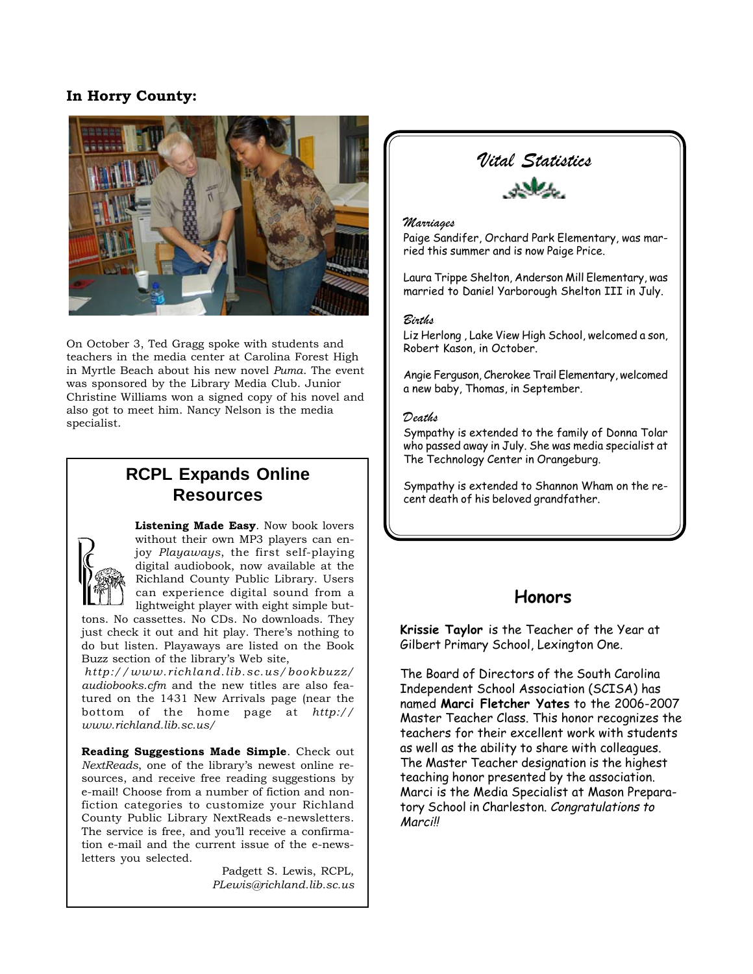## **In Horry County:**



On October 3, Ted Gragg spoke with students and teachers in the media center at Carolina Forest High in Myrtle Beach about his new novel *Puma*. The event was sponsored by the Library Media Club. Junior Christine Williams won a signed copy of his novel and also got to meet him. Nancy Nelson is the media specialist.

# **RCPL Expands Online Resources**



**Listening Made Easy**. Now book lovers without their own MP3 players can enjoy *Playaways*, the first self-playing digital audiobook, now available at the Richland County Public Library. Users can experience digital sound from a lightweight player with eight simple but-

tons. No cassettes. No CDs. No downloads. They just check it out and hit play. There's nothing to do but listen. Playaways are listed on the Book Buzz section of the library's Web site,

*http://www.richland.lib.sc.us/bookbuzz/ audiobooks.cfm* and the new titles are also featured on the 1431 New Arrivals page (near the bottom of the home page at *http:// www.richland.lib.sc.us/*

**Reading Suggestions Made Simple**. Check out *NextReads*, one of the library's newest online resources, and receive free reading suggestions by e-mail! Choose from a number of fiction and nonfiction categories to customize your Richland County Public Library NextReads e-newsletters. The service is free, and you'll receive a confirmation e-mail and the current issue of the e-newsletters you selected.

> Padgett S. Lewis, RCPL, *PLewis@richland.lib.sc.us*

## *Vital Statistics*



### *Marriages*

Paige Sandifer, Orchard Park Elementary, was married this summer and is now Paige Price.

Laura Trippe Shelton, Anderson Mill Elementary, was married to Daniel Yarborough Shelton III in July.

### *Births*

Liz Herlong , Lake View High School, welcomed a son, Robert Kason, in October.

Angie Ferguson, Cherokee Trail Elementary, welcomed a new baby, Thomas, in September.

### *Deaths*

Sympathy is extended to the family of Donna Tolar who passed away in July. She was media specialist at The Technology Center in Orangeburg.

Sympathy is extended to Shannon Wham on the recent death of his beloved grandfather.

## **Honors**

**Krissie Taylor** is the Teacher of the Year at Gilbert Primary School, Lexington One.

The Board of Directors of the South Carolina Independent School Association (SCISA) has named **Marci Fletcher Yates** to the 2006-2007 Master Teacher Class. This honor recognizes the teachers for their excellent work with students as well as the ability to share with colleagues. The Master Teacher designation is the highest teaching honor presented by the association. Marci is the Media Specialist at Mason Preparatory School in Charleston. Congratulations to Marci!!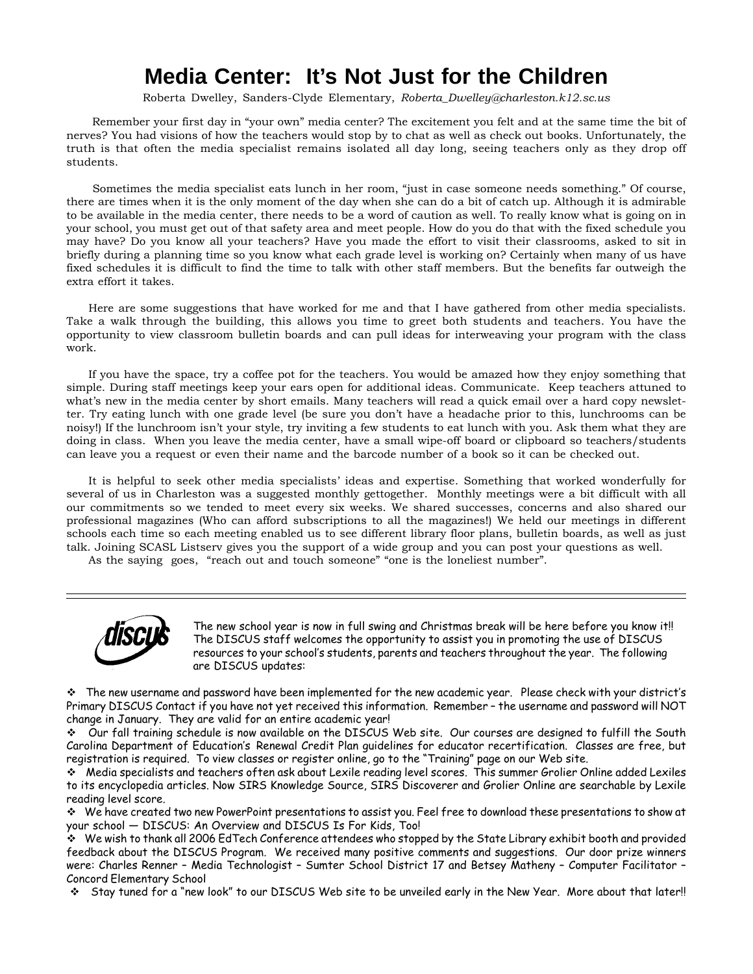# **Media Center: It's Not Just for the Children**

Roberta Dwelley, Sanders-Clyde Elementary, *Roberta\_Dwelley@charleston.k12.sc.us*

 Remember your first day in "your own" media center? The excitement you felt and at the same time the bit of nerves? You had visions of how the teachers would stop by to chat as well as check out books. Unfortunately, the truth is that often the media specialist remains isolated all day long, seeing teachers only as they drop off students.

 Sometimes the media specialist eats lunch in her room, "just in case someone needs something." Of course, there are times when it is the only moment of the day when she can do a bit of catch up. Although it is admirable to be available in the media center, there needs to be a word of caution as well. To really know what is going on in your school, you must get out of that safety area and meet people. How do you do that with the fixed schedule you may have? Do you know all your teachers? Have you made the effort to visit their classrooms, asked to sit in briefly during a planning time so you know what each grade level is working on? Certainly when many of us have fixed schedules it is difficult to find the time to talk with other staff members. But the benefits far outweigh the extra effort it takes.

Here are some suggestions that have worked for me and that I have gathered from other media specialists. Take a walk through the building, this allows you time to greet both students and teachers. You have the opportunity to view classroom bulletin boards and can pull ideas for interweaving your program with the class work.

If you have the space, try a coffee pot for the teachers. You would be amazed how they enjoy something that simple. During staff meetings keep your ears open for additional ideas. Communicate. Keep teachers attuned to what's new in the media center by short emails. Many teachers will read a quick email over a hard copy newsletter. Try eating lunch with one grade level (be sure you don't have a headache prior to this, lunchrooms can be noisy!) If the lunchroom isn't your style, try inviting a few students to eat lunch with you. Ask them what they are doing in class. When you leave the media center, have a small wipe-off board or clipboard so teachers/students can leave you a request or even their name and the barcode number of a book so it can be checked out.

It is helpful to seek other media specialists' ideas and expertise. Something that worked wonderfully for several of us in Charleston was a suggested monthly gettogether. Monthly meetings were a bit difficult with all our commitments so we tended to meet every six weeks. We shared successes, concerns and also shared our professional magazines (Who can afford subscriptions to all the magazines!) We held our meetings in different schools each time so each meeting enabled us to see different library floor plans, bulletin boards, as well as just talk. Joining SCASL Listserv gives you the support of a wide group and you can post your questions as well.

As the saying goes, "reach out and touch someone" "one is the loneliest number".



The new school year is now in full swing and Christmas break will be here before you know it!! The DISCUS staff welcomes the opportunity to assist you in promoting the use of DISCUS resources to your school's students, parents and teachers throughout the year. The following are DISCUS updates:

 $\cdot$  The new username and password have been implemented for the new academic year. Please check with your district's Primary DISCUS Contact if you have not yet received this information. Remember – the username and password will NOT change in January. They are valid for an entire academic year!

 Our fall training schedule is now available on the DISCUS Web site. Our courses are designed to fulfill the South Carolina Department of Education's Renewal Credit Plan guidelines for educator recertification. Classes are free, but registration is required. To view classes or register online, go to the "Training" page on our Web site.

 $\bm{\hat{y}}$  Media specialists and teachers often ask about Lexile reading level scores. This summer Grolier Online added Lexiles to its encyclopedia articles. Now SIRS Knowledge Source, SIRS Discoverer and Grolier Online are searchable by Lexile reading level score.

 We have created two new PowerPoint presentations to assist you. Feel free to download these presentations to show at your school — DISCUS: An Overview and DISCUS Is For Kids, Too!

 We wish to thank all 2006 EdTech Conference attendees who stopped by the State Library exhibit booth and provided feedback about the DISCUS Program. We received many positive comments and suggestions. Our door prize winners were: Charles Renner – Media Technologist – Sumter School District 17 and Betsey Matheny – Computer Facilitator – Concord Elementary School

Stay tuned for a "new look" to our DISCUS Web site to be unveiled early in the New Year. More about that later!!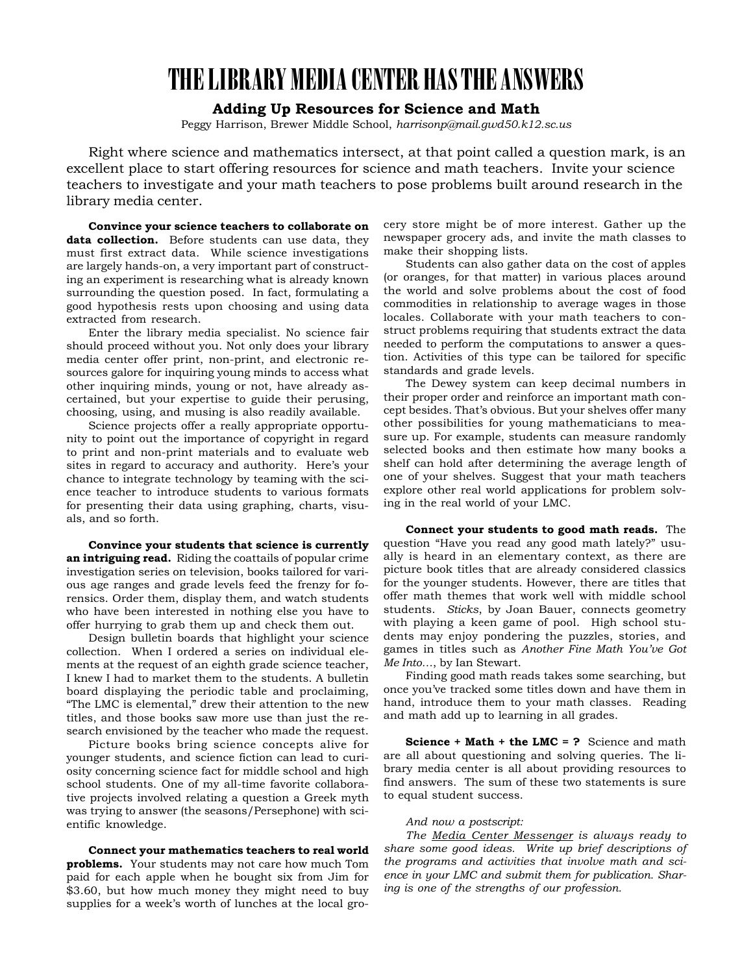# **THE LIBRARY MEDIA CENTER HAS THE ANSWERS**

## **Adding Up Resources for Science and Math**

Peggy Harrison, Brewer Middle School, *harrisonp@mail.gwd50.k12.sc.us*

Right where science and mathematics intersect, at that point called a question mark, is an excellent place to start offering resources for science and math teachers. Invite your science teachers to investigate and your math teachers to pose problems built around research in the library media center.

**Convince your science teachers to collaborate on data collection.** Before students can use data, they must first extract data. While science investigations are largely hands-on, a very important part of constructing an experiment is researching what is already known surrounding the question posed. In fact, formulating a good hypothesis rests upon choosing and using data extracted from research.

Enter the library media specialist. No science fair should proceed without you. Not only does your library media center offer print, non-print, and electronic resources galore for inquiring young minds to access what other inquiring minds, young or not, have already ascertained, but your expertise to guide their perusing, choosing, using, and musing is also readily available.

Science projects offer a really appropriate opportunity to point out the importance of copyright in regard to print and non-print materials and to evaluate web sites in regard to accuracy and authority. Here's your chance to integrate technology by teaming with the science teacher to introduce students to various formats for presenting their data using graphing, charts, visuals, and so forth.

**Convince your students that science is currently an intriguing read.** Riding the coattails of popular crime investigation series on television, books tailored for various age ranges and grade levels feed the frenzy for forensics. Order them, display them, and watch students who have been interested in nothing else you have to offer hurrying to grab them up and check them out.

Design bulletin boards that highlight your science collection. When I ordered a series on individual elements at the request of an eighth grade science teacher, I knew I had to market them to the students. A bulletin board displaying the periodic table and proclaiming, "The LMC is elemental," drew their attention to the new titles, and those books saw more use than just the research envisioned by the teacher who made the request.

Picture books bring science concepts alive for younger students, and science fiction can lead to curiosity concerning science fact for middle school and high school students. One of my all-time favorite collaborative projects involved relating a question a Greek myth was trying to answer (the seasons/Persephone) with scientific knowledge.

**Connect your mathematics teachers to real world problems.** Your students may not care how much Tom paid for each apple when he bought six from Jim for \$3.60, but how much money they might need to buy supplies for a week's worth of lunches at the local gro-

cery store might be of more interest. Gather up the newspaper grocery ads, and invite the math classes to make their shopping lists.

Students can also gather data on the cost of apples (or oranges, for that matter) in various places around the world and solve problems about the cost of food commodities in relationship to average wages in those locales. Collaborate with your math teachers to construct problems requiring that students extract the data needed to perform the computations to answer a question. Activities of this type can be tailored for specific standards and grade levels.

The Dewey system can keep decimal numbers in their proper order and reinforce an important math concept besides. That's obvious. But your shelves offer many other possibilities for young mathematicians to measure up. For example, students can measure randomly selected books and then estimate how many books a shelf can hold after determining the average length of one of your shelves. Suggest that your math teachers explore other real world applications for problem solving in the real world of your LMC.

**Connect your students to good math reads.** The question "Have you read any good math lately?" usually is heard in an elementary context, as there are picture book titles that are already considered classics for the younger students. However, there are titles that offer math themes that work well with middle school students. *Sticks*, by Joan Bauer, connects geometry with playing a keen game of pool. High school students may enjoy pondering the puzzles, stories, and games in titles such as *Another Fine Math You've Got Me Into…*, by Ian Stewart.

Finding good math reads takes some searching, but once you've tracked some titles down and have them in hand, introduce them to your math classes. Reading and math add up to learning in all grades.

**Science + Math + the LMC = ?** Science and math are all about questioning and solving queries. The library media center is all about providing resources to find answers. The sum of these two statements is sure to equal student success.

#### *And now a postscript:*

*The Media Center Messenger is always ready to share some good ideas. Write up brief descriptions of the programs and activities that involve math and science in your LMC and submit them for publication. Sharing is one of the strengths of our profession.*